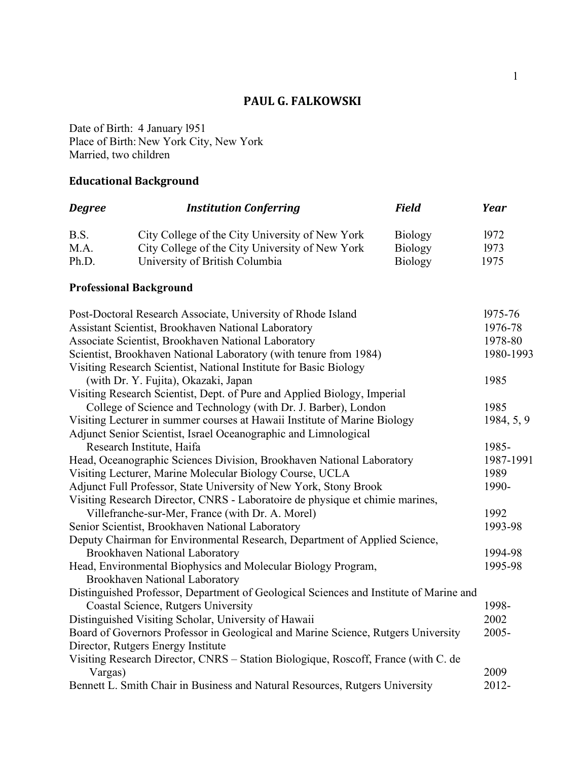# **PAUL G. FALKOWSKI**

Date of Birth: 4 January l951 Place of Birth: New York City, New York Married, two children

# **Educational Background**

| <b>Degree</b>                                                         | <b>Institution Conferring</b>                                                          | <b>Field</b>   | Year       |  |
|-----------------------------------------------------------------------|----------------------------------------------------------------------------------------|----------------|------------|--|
| B.S.                                                                  | City College of the City University of New York                                        | <b>Biology</b> | 1972       |  |
| M.A.                                                                  | City College of the City University of New York                                        | <b>Biology</b> | 1973       |  |
| Ph.D.                                                                 | University of British Columbia                                                         | <b>Biology</b> | 1975       |  |
|                                                                       | <b>Professional Background</b>                                                         |                |            |  |
|                                                                       | Post-Doctoral Research Associate, University of Rhode Island                           |                | 1975-76    |  |
| Assistant Scientist, Brookhaven National Laboratory                   |                                                                                        |                | 1976-78    |  |
| Associate Scientist, Brookhaven National Laboratory                   |                                                                                        |                | 1978-80    |  |
|                                                                       | Scientist, Brookhaven National Laboratory (with tenure from 1984)                      |                | 1980-1993  |  |
|                                                                       | Visiting Research Scientist, National Institute for Basic Biology                      |                |            |  |
|                                                                       | (with Dr. Y. Fujita), Okazaki, Japan                                                   |                | 1985       |  |
|                                                                       | Visiting Research Scientist, Dept. of Pure and Applied Biology, Imperial               |                |            |  |
|                                                                       | College of Science and Technology (with Dr. J. Barber), London                         |                | 1985       |  |
|                                                                       | Visiting Lecturer in summer courses at Hawaii Institute of Marine Biology              |                | 1984, 5, 9 |  |
|                                                                       | Adjunct Senior Scientist, Israel Oceanographic and Limnological                        |                |            |  |
|                                                                       | Research Institute, Haifa                                                              |                | 1985-      |  |
| Head, Oceanographic Sciences Division, Brookhaven National Laboratory |                                                                                        |                | 1987-1991  |  |
| Visiting Lecturer, Marine Molecular Biology Course, UCLA              |                                                                                        |                | 1989       |  |
|                                                                       | Adjunct Full Professor, State University of New York, Stony Brook                      |                | 1990-      |  |
|                                                                       | Visiting Research Director, CNRS - Laboratoire de physique et chimie marines,          |                |            |  |
|                                                                       | Villefranche-sur-Mer, France (with Dr. A. Morel)                                       |                | 1992       |  |
|                                                                       | Senior Scientist, Brookhaven National Laboratory                                       |                | 1993-98    |  |
|                                                                       | Deputy Chairman for Environmental Research, Department of Applied Science,             |                |            |  |
|                                                                       | <b>Brookhaven National Laboratory</b>                                                  |                | 1994-98    |  |
|                                                                       | Head, Environmental Biophysics and Molecular Biology Program,                          |                | 1995-98    |  |
|                                                                       | Brookhaven National Laboratory                                                         |                |            |  |
|                                                                       | Distinguished Professor, Department of Geological Sciences and Institute of Marine and |                |            |  |
|                                                                       | Coastal Science, Rutgers University                                                    |                | 1998-      |  |
|                                                                       | Distinguished Visiting Scholar, University of Hawaii                                   |                | 2002       |  |
|                                                                       | Board of Governors Professor in Geological and Marine Science, Rutgers University      |                | $2005 -$   |  |
|                                                                       | Director, Rutgers Energy Institute                                                     |                |            |  |
|                                                                       | Visiting Research Director, CNRS - Station Biologique, Roscoff, France (with C. de     |                |            |  |
| Vargas)                                                               |                                                                                        |                | 2009       |  |
|                                                                       | Bennett L. Smith Chair in Business and Natural Resources, Rutgers University           |                | 2012-      |  |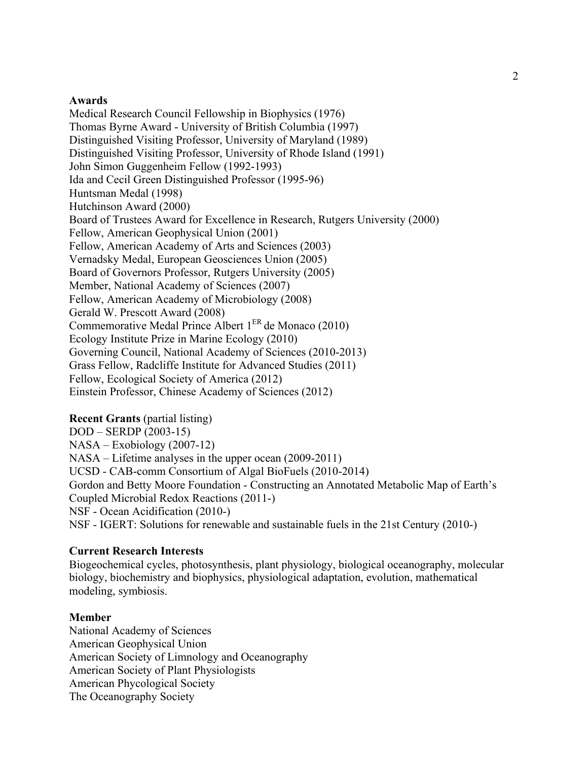### **Awards**

Medical Research Council Fellowship in Biophysics (1976) Thomas Byrne Award - University of British Columbia (1997) Distinguished Visiting Professor, University of Maryland (1989) Distinguished Visiting Professor, University of Rhode Island (1991) John Simon Guggenheim Fellow (1992-1993) Ida and Cecil Green Distinguished Professor (1995-96) Huntsman Medal (1998) Hutchinson Award (2000) Board of Trustees Award for Excellence in Research, Rutgers University (2000) Fellow, American Geophysical Union (2001) Fellow, American Academy of Arts and Sciences (2003) Vernadsky Medal, European Geosciences Union (2005) Board of Governors Professor, Rutgers University (2005) Member, National Academy of Sciences (2007) Fellow, American Academy of Microbiology (2008) Gerald W. Prescott Award (2008) Commemorative Medal Prince Albert 1ER de Monaco (2010) Ecology Institute Prize in Marine Ecology (2010) Governing Council, National Academy of Sciences (2010-2013) Grass Fellow, Radcliffe Institute for Advanced Studies (2011) Fellow, Ecological Society of America (2012) Einstein Professor, Chinese Academy of Sciences (2012)

#### **Recent Grants** (partial listing)

DOD – SERDP (2003-15) NASA – Exobiology (2007-12) NASA – Lifetime analyses in the upper ocean (2009-2011) UCSD - CAB-comm Consortium of Algal BioFuels (2010-2014) Gordon and Betty Moore Foundation - Constructing an Annotated Metabolic Map of Earth's Coupled Microbial Redox Reactions (2011-) NSF - Ocean Acidification (2010-) NSF - IGERT: Solutions for renewable and sustainable fuels in the 21st Century (2010-)

#### **Current Research Interests**

Biogeochemical cycles, photosynthesis, plant physiology, biological oceanography, molecular biology, biochemistry and biophysics, physiological adaptation, evolution, mathematical modeling, symbiosis.

#### **Member**

National Academy of Sciences American Geophysical Union American Society of Limnology and Oceanography American Society of Plant Physiologists American Phycological Society The Oceanography Society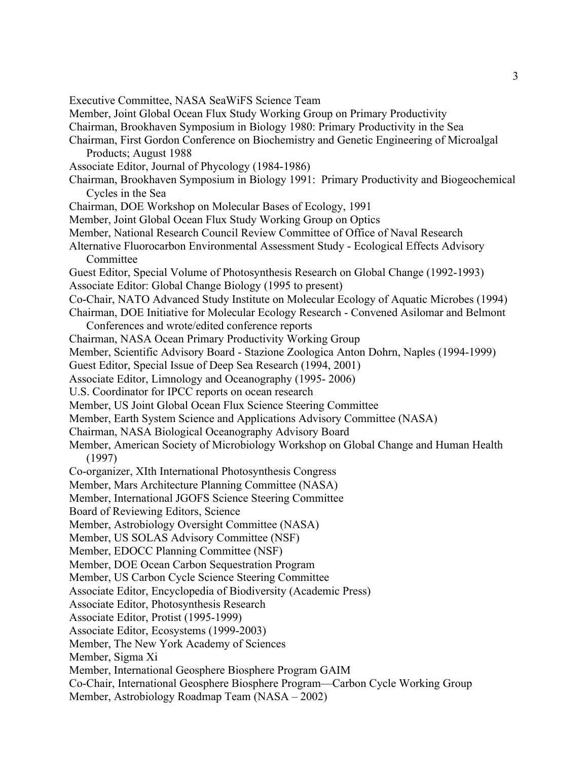Executive Committee, NASA SeaWiFS Science Team Member, Joint Global Ocean Flux Study Working Group on Primary Productivity Chairman, Brookhaven Symposium in Biology 1980: Primary Productivity in the Sea Chairman, First Gordon Conference on Biochemistry and Genetic Engineering of Microalgal Products; August 1988 Associate Editor, Journal of Phycology (1984-1986) Chairman, Brookhaven Symposium in Biology 1991: Primary Productivity and Biogeochemical Cycles in the Sea Chairman, DOE Workshop on Molecular Bases of Ecology, 1991 Member, Joint Global Ocean Flux Study Working Group on Optics Member, National Research Council Review Committee of Office of Naval Research Alternative Fluorocarbon Environmental Assessment Study - Ecological Effects Advisory Committee Guest Editor, Special Volume of Photosynthesis Research on Global Change (1992-1993) Associate Editor: Global Change Biology (1995 to present) Co-Chair, NATO Advanced Study Institute on Molecular Ecology of Aquatic Microbes (1994) Chairman, DOE Initiative for Molecular Ecology Research - Convened Asilomar and Belmont Conferences and wrote/edited conference reports Chairman, NASA Ocean Primary Productivity Working Group Member, Scientific Advisory Board - Stazione Zoologica Anton Dohrn, Naples (1994-1999) Guest Editor, Special Issue of Deep Sea Research (1994, 2001) Associate Editor, Limnology and Oceanography (1995- 2006) U.S. Coordinator for IPCC reports on ocean research Member, US Joint Global Ocean Flux Science Steering Committee Member, Earth System Science and Applications Advisory Committee (NASA) Chairman, NASA Biological Oceanography Advisory Board Member, American Society of Microbiology Workshop on Global Change and Human Health (1997) Co-organizer, XIth International Photosynthesis Congress Member, Mars Architecture Planning Committee (NASA) Member, International JGOFS Science Steering Committee Board of Reviewing Editors, Science Member, Astrobiology Oversight Committee (NASA) Member, US SOLAS Advisory Committee (NSF) Member, EDOCC Planning Committee (NSF) Member, DOE Ocean Carbon Sequestration Program Member, US Carbon Cycle Science Steering Committee Associate Editor, Encyclopedia of Biodiversity (Academic Press) Associate Editor, Photosynthesis Research Associate Editor, Protist (1995-1999) Associate Editor, Ecosystems (1999-2003) Member, The New York Academy of Sciences Member, Sigma Xi Member, International Geosphere Biosphere Program GAIM Co-Chair, International Geosphere Biosphere Program—Carbon Cycle Working Group Member, Astrobiology Roadmap Team (NASA – 2002)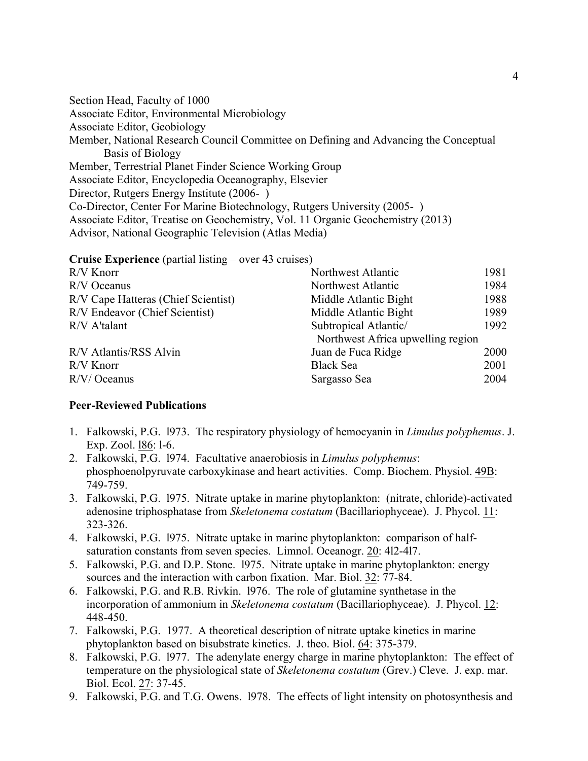Section Head, Faculty of 1000 Associate Editor, Environmental Microbiology Associate Editor, Geobiology Member, National Research Council Committee on Defining and Advancing the Conceptual Basis of Biology Member, Terrestrial Planet Finder Science Working Group Associate Editor, Encyclopedia Oceanography, Elsevier Director, Rutgers Energy Institute (2006- ) Co-Director, Center For Marine Biotechnology, Rutgers University (2005- ) Associate Editor, Treatise on Geochemistry, Vol. 11 Organic Geochemistry (2013) Advisor, National Geographic Television (Atlas Media)

**Cruise Experience** (partial listing – over 43 cruises)

| R/V Knorr                           | Northwest Atlantic                | 1981 |
|-------------------------------------|-----------------------------------|------|
| R/V Oceanus                         | Northwest Atlantic                | 1984 |
| R/V Cape Hatteras (Chief Scientist) | Middle Atlantic Bight             | 1988 |
| R/V Endeavor (Chief Scientist)      | Middle Atlantic Bight             | 1989 |
| R/V A'talant                        | Subtropical Atlantic/             | 1992 |
|                                     | Northwest Africa upwelling region |      |
| R/V Atlantis/RSS Alvin              | Juan de Fuca Ridge                | 2000 |
| R/V Knorr                           | <b>Black Sea</b>                  | 2001 |
| R/V/ Oceanus                        | Sargasso Sea                      | 2004 |

#### **Peer-Reviewed Publications**

- 1. Falkowski, P.G. l973. The respiratory physiology of hemocyanin in *Limulus polyphemus*. J. Exp. Zool. l86: l-6.
- 2. Falkowski, P.G. l974. Facultative anaerobiosis in *Limulus polyphemus*: phosphoenolpyruvate carboxykinase and heart activities. Comp. Biochem. Physiol. 49B: 749-759.
- 3. Falkowski, P.G. l975. Nitrate uptake in marine phytoplankton: (nitrate, chloride)-activated adenosine triphosphatase from *Skeletonema costatum* (Bacillariophyceae). J. Phycol. 11: 323-326.
- 4. Falkowski, P.G. l975. Nitrate uptake in marine phytoplankton: comparison of halfsaturation constants from seven species. Limnol. Oceanogr. 20: 4l2-4l7.
- 5. Falkowski, P.G. and D.P. Stone. l975. Nitrate uptake in marine phytoplankton: energy sources and the interaction with carbon fixation. Mar. Biol. 32: 77-84.
- 6. Falkowski, P.G. and R.B. Rivkin. l976. The role of glutamine synthetase in the incorporation of ammonium in *Skeletonema costatum* (Bacillariophyceae). J. Phycol. 12: 448-450.
- 7. Falkowski, P.G. 1977. A theoretical description of nitrate uptake kinetics in marine phytoplankton based on bisubstrate kinetics. J. theo. Biol. 64: 375-379.
- 8. Falkowski, P.G. l977. The adenylate energy charge in marine phytoplankton: The effect of temperature on the physiological state of *Skeletonema costatum* (Grev.) Cleve. J. exp. mar. Biol. Ecol. 27: 37-45.
- 9. Falkowski, P.G. and T.G. Owens. l978. The effects of light intensity on photosynthesis and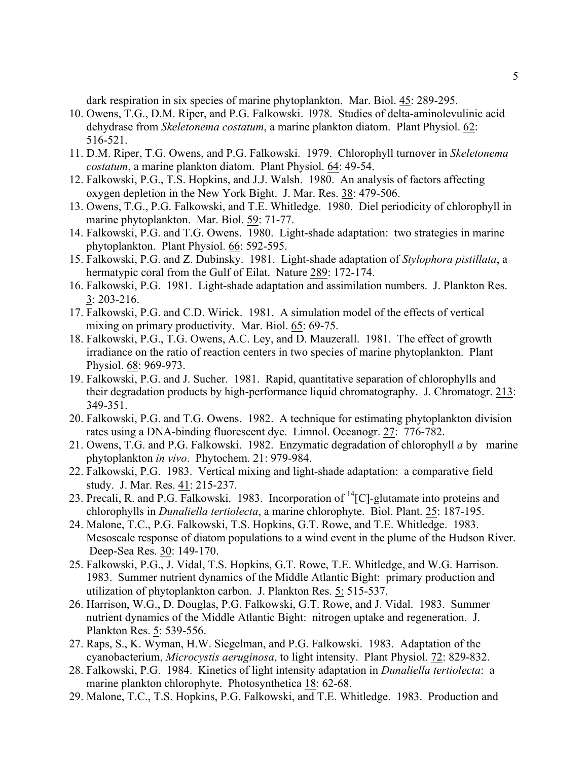dark respiration in six species of marine phytoplankton. Mar. Biol. 45: 289-295.

- 10. Owens, T.G., D.M. Riper, and P.G. Falkowski. l978. Studies of delta-aminolevulinic acid dehydrase from *Skeletonema costatum*, a marine plankton diatom. Plant Physiol. 62: 516-521.
- 11. D.M. Riper, T.G. Owens, and P.G. Falkowski. 1979. Chlorophyll turnover in *Skeletonema costatum*, a marine plankton diatom. Plant Physiol. 64: 49-54.
- 12. Falkowski, P.G., T.S. Hopkins, and J.J. Walsh. 1980. An analysis of factors affecting oxygen depletion in the New York Bight. J. Mar. Res. 38: 479-506.
- 13. Owens, T.G., P.G. Falkowski, and T.E. Whitledge. 1980. Diel periodicity of chlorophyll in marine phytoplankton. Mar. Biol. 59: 71-77.
- 14. Falkowski, P.G. and T.G. Owens. 1980. Light-shade adaptation: two strategies in marine phytoplankton. Plant Physiol. 66: 592-595.
- 15. Falkowski, P.G. and Z. Dubinsky. 1981. Light-shade adaptation of *Stylophora pistillata*, a hermatypic coral from the Gulf of Eilat. Nature 289: 172-174.
- 16. Falkowski, P.G. 1981. Light-shade adaptation and assimilation numbers. J. Plankton Res. 3: 203-216.
- 17. Falkowski, P.G. and C.D. Wirick. 1981. A simulation model of the effects of vertical mixing on primary productivity. Mar. Biol. 65: 69-75.
- 18. Falkowski, P.G., T.G. Owens, A.C. Ley, and D. Mauzerall. 1981. The effect of growth irradiance on the ratio of reaction centers in two species of marine phytoplankton. Plant Physiol. 68: 969-973.
- 19. Falkowski, P.G. and J. Sucher. 1981. Rapid, quantitative separation of chlorophylls and their degradation products by high-performance liquid chromatography. J. Chromatogr. 213: 349-351.
- 20. Falkowski, P.G. and T.G. Owens. 1982. A technique for estimating phytoplankton division rates using a DNA-binding fluorescent dye. Limnol. Oceanogr. 27: 776-782.
- 21. Owens, T.G. and P.G. Falkowski. 1982. Enzymatic degradation of chlorophyll *a* by marine phytoplankton *in vivo*. Phytochem. 21: 979-984.
- 22. Falkowski, P.G. 1983. Vertical mixing and light-shade adaptation: a comparative field study. J. Mar. Res. 41: 215-237.
- 23. Precali, R. and P.G. Falkowski. 1983. Incorporation of <sup>14</sup>[C]-glutamate into proteins and chlorophylls in *Dunaliella tertiolecta*, a marine chlorophyte. Biol. Plant. 25: 187-195.
- 24. Malone, T.C., P.G. Falkowski, T.S. Hopkins, G.T. Rowe, and T.E. Whitledge. 1983. Mesoscale response of diatom populations to a wind event in the plume of the Hudson River. Deep-Sea Res. 30: 149-170.
- 25. Falkowski, P.G., J. Vidal, T.S. Hopkins, G.T. Rowe, T.E. Whitledge, and W.G. Harrison. 1983. Summer nutrient dynamics of the Middle Atlantic Bight: primary production and utilization of phytoplankton carbon. J. Plankton Res. 5: 515-537.
- 26. Harrison, W.G., D. Douglas, P.G. Falkowski, G.T. Rowe, and J. Vidal. 1983. Summer nutrient dynamics of the Middle Atlantic Bight: nitrogen uptake and regeneration. J. Plankton Res. 5: 539-556.
- 27. Raps, S., K. Wyman, H.W. Siegelman, and P.G. Falkowski. 1983. Adaptation of the cyanobacterium, *Microcystis aeruginosa*, to light intensity. Plant Physiol. 72: 829-832.
- 28. Falkowski, P.G. 1984. Kinetics of light intensity adaptation in *Dunaliella tertiolecta*: a marine plankton chlorophyte. Photosynthetica 18: 62-68.
- 29. Malone, T.C., T.S. Hopkins, P.G. Falkowski, and T.E. Whitledge. 1983. Production and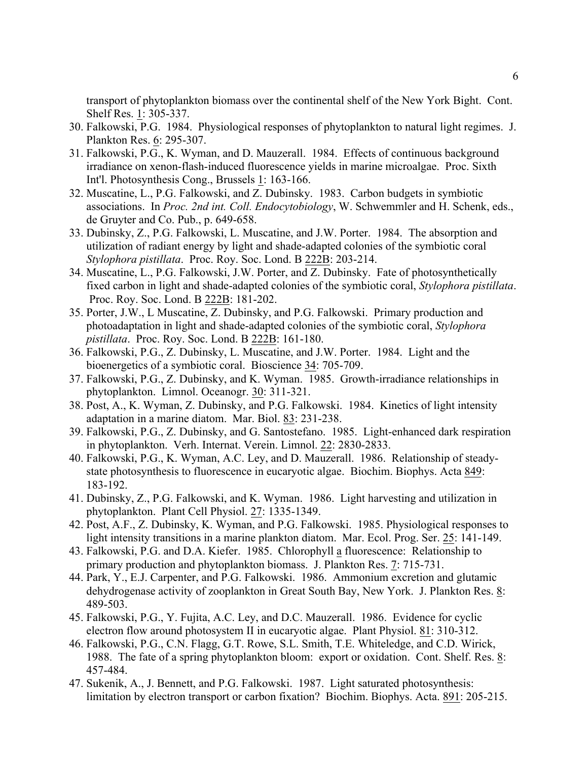transport of phytoplankton biomass over the continental shelf of the New York Bight. Cont. Shelf Res. 1: 305-337.

- 30. Falkowski, P.G. 1984. Physiological responses of phytoplankton to natural light regimes. J. Plankton Res. 6: 295-307.
- 31. Falkowski, P.G., K. Wyman, and D. Mauzerall. 1984. Effects of continuous background irradiance on xenon-flash-induced fluorescence yields in marine microalgae. Proc. Sixth Int'l. Photosynthesis Cong., Brussels 1: 163-166.
- 32. Muscatine, L., P.G. Falkowski, and Z. Dubinsky. 1983. Carbon budgets in symbiotic associations. In *Proc. 2nd int. Coll. Endocytobiology*, W. Schwemmler and H. Schenk, eds., de Gruyter and Co. Pub., p. 649-658.
- 33. Dubinsky, Z., P.G. Falkowski, L. Muscatine, and J.W. Porter. 1984. The absorption and utilization of radiant energy by light and shade-adapted colonies of the symbiotic coral *Stylophora pistillata*. Proc. Roy. Soc. Lond. B 222B: 203-214.
- 34. Muscatine, L., P.G. Falkowski, J.W. Porter, and Z. Dubinsky. Fate of photosynthetically fixed carbon in light and shade-adapted colonies of the symbiotic coral, *Stylophora pistillata*. Proc. Roy. Soc. Lond. B 222B: 181-202.
- 35. Porter, J.W., L Muscatine, Z. Dubinsky, and P.G. Falkowski. Primary production and photoadaptation in light and shade-adapted colonies of the symbiotic coral, *Stylophora pistillata*. Proc. Roy. Soc. Lond. B 222B: 161-180.
- 36. Falkowski, P.G., Z. Dubinsky, L. Muscatine, and J.W. Porter. 1984. Light and the bioenergetics of a symbiotic coral. Bioscience 34: 705-709.
- 37. Falkowski, P.G., Z. Dubinsky, and K. Wyman. 1985. Growth-irradiance relationships in phytoplankton. Limnol. Oceanogr. 30: 311-321.
- 38. Post, A., K. Wyman, Z. Dubinsky, and P.G. Falkowski. 1984. Kinetics of light intensity adaptation in a marine diatom. Mar. Biol. 83: 231-238.
- 39. Falkowski, P.G., Z. Dubinsky, and G. Santostefano. 1985. Light-enhanced dark respiration in phytoplankton. Verh. Internat. Verein. Limnol. 22: 2830-2833.
- 40. Falkowski, P.G., K. Wyman, A.C. Ley, and D. Mauzerall. 1986. Relationship of steadystate photosynthesis to fluorescence in eucaryotic algae. Biochim. Biophys. Acta 849: 183-192.
- 41. Dubinsky, Z., P.G. Falkowski, and K. Wyman. 1986. Light harvesting and utilization in phytoplankton. Plant Cell Physiol. 27: 1335-1349.
- 42. Post, A.F., Z. Dubinsky, K. Wyman, and P.G. Falkowski. 1985. Physiological responses to light intensity transitions in a marine plankton diatom. Mar. Ecol. Prog. Ser. 25: 141-149.
- 43. Falkowski, P.G. and D.A. Kiefer. 1985. Chlorophyll a fluorescence: Relationship to primary production and phytoplankton biomass. J. Plankton Res. 7: 715-731.
- 44. Park, Y., E.J. Carpenter, and P.G. Falkowski. 1986. Ammonium excretion and glutamic dehydrogenase activity of zooplankton in Great South Bay, New York. J. Plankton Res. 8: 489-503.
- 45. Falkowski, P.G., Y. Fujita, A.C. Ley, and D.C. Mauzerall. 1986. Evidence for cyclic electron flow around photosystem II in eucaryotic algae. Plant Physiol. 81: 310-312.
- 46. Falkowski, P.G., C.N. Flagg, G.T. Rowe, S.L. Smith, T.E. Whiteledge, and C.D. Wirick, 1988. The fate of a spring phytoplankton bloom: export or oxidation. Cont. Shelf. Res. 8: 457-484.
- 47. Sukenik, A., J. Bennett, and P.G. Falkowski. 1987. Light saturated photosynthesis: limitation by electron transport or carbon fixation? Biochim. Biophys. Acta. 891: 205-215.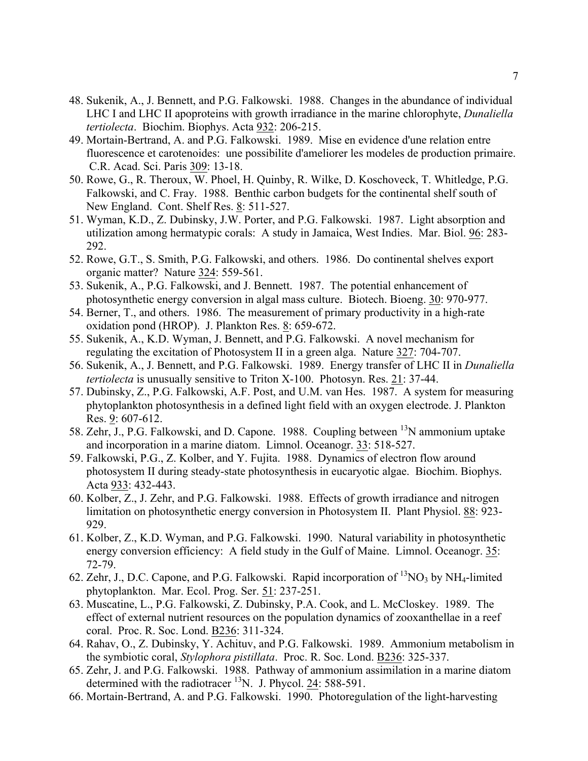- 48. Sukenik, A., J. Bennett, and P.G. Falkowski. 1988. Changes in the abundance of individual LHC I and LHC II apoproteins with growth irradiance in the marine chlorophyte, *Dunaliella tertiolecta*. Biochim. Biophys. Acta 932: 206-215.
- 49. Mortain-Bertrand, A. and P.G. Falkowski. 1989. Mise en evidence d'une relation entre fluorescence et carotenoides: une possibilite d'ameliorer les modeles de production primaire. C.R. Acad. Sci. Paris 309: 13-18.
- 50. Rowe, G., R. Theroux, W. Phoel, H. Quinby, R. Wilke, D. Koschoveck, T. Whitledge, P.G. Falkowski, and C. Fray. 1988. Benthic carbon budgets for the continental shelf south of New England. Cont. Shelf Res. 8: 511-527.
- 51. Wyman, K.D., Z. Dubinsky, J.W. Porter, and P.G. Falkowski. 1987. Light absorption and utilization among hermatypic corals: A study in Jamaica, West Indies. Mar. Biol. 96: 283- 292.
- 52. Rowe, G.T., S. Smith, P.G. Falkowski, and others. 1986. Do continental shelves export organic matter? Nature 324: 559-561.
- 53. Sukenik, A., P.G. Falkowski, and J. Bennett. 1987. The potential enhancement of photosynthetic energy conversion in algal mass culture. Biotech. Bioeng. 30: 970-977.
- 54. Berner, T., and others. 1986. The measurement of primary productivity in a high-rate oxidation pond (HROP). J. Plankton Res. 8: 659-672.
- 55. Sukenik, A., K.D. Wyman, J. Bennett, and P.G. Falkowski. A novel mechanism for regulating the excitation of Photosystem II in a green alga. Nature 327: 704-707.
- 56. Sukenik, A., J. Bennett, and P.G. Falkowski. 1989. Energy transfer of LHC II in *Dunaliella tertiolecta* is unusually sensitive to Triton X-100. Photosyn. Res. 21: 37-44.
- 57. Dubinsky, Z., P.G. Falkowski, A.F. Post, and U.M. van Hes. 1987. A system for measuring phytoplankton photosynthesis in a defined light field with an oxygen electrode. J. Plankton Res. 9: 607-612.
- 58. Zehr, J., P.G. Falkowski, and D. Capone. 1988. Coupling between <sup>13</sup>N ammonium uptake and incorporation in a marine diatom. Limnol. Oceanogr. 33: 518-527.
- 59. Falkowski, P.G., Z. Kolber, and Y. Fujita. 1988. Dynamics of electron flow around photosystem II during steady-state photosynthesis in eucaryotic algae. Biochim. Biophys. Acta 933: 432-443.
- 60. Kolber, Z., J. Zehr, and P.G. Falkowski. 1988. Effects of growth irradiance and nitrogen limitation on photosynthetic energy conversion in Photosystem II. Plant Physiol. 88: 923- 929.
- 61. Kolber, Z., K.D. Wyman, and P.G. Falkowski. 1990. Natural variability in photosynthetic energy conversion efficiency: A field study in the Gulf of Maine. Limnol. Oceanogr. 35: 72-79.
- 62. Zehr, J., D.C. Capone, and P.G. Falkowski. Rapid incorporation of  ${}^{13}NO_3$  by NH<sub>4</sub>-limited phytoplankton. Mar. Ecol. Prog. Ser. 51: 237-251.
- 63. Muscatine, L., P.G. Falkowski, Z. Dubinsky, P.A. Cook, and L. McCloskey. 1989. The effect of external nutrient resources on the population dynamics of zooxanthellae in a reef coral. Proc. R. Soc. Lond. B236: 311-324.
- 64. Rahav, O., Z. Dubinsky, Y. Achituv, and P.G. Falkowski. 1989. Ammonium metabolism in the symbiotic coral, *Stylophora pistillata*. Proc. R. Soc. Lond. B236: 325-337.
- 65. Zehr, J. and P.G. Falkowski. 1988. Pathway of ammonium assimilation in a marine diatom determined with the radiotracer  $^{13}$ N. J. Phycol. 24: 588-591.
- 66. Mortain-Bertrand, A. and P.G. Falkowski. 1990. Photoregulation of the light-harvesting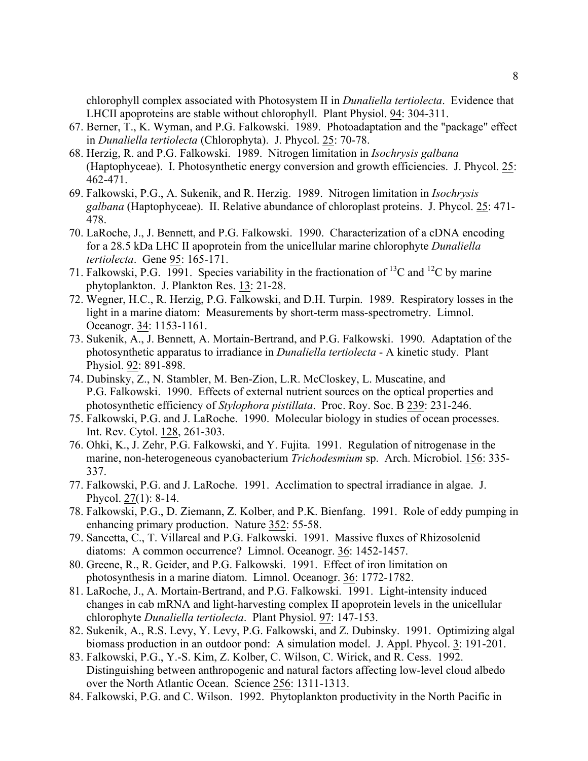chlorophyll complex associated with Photosystem II in *Dunaliella tertiolecta*. Evidence that LHCII apoproteins are stable without chlorophyll. Plant Physiol. 94: 304-311.

- 67. Berner, T., K. Wyman, and P.G. Falkowski. 1989. Photoadaptation and the "package" effect in *Dunaliella tertiolecta* (Chlorophyta). J. Phycol. 25: 70-78.
- 68. Herzig, R. and P.G. Falkowski. 1989. Nitrogen limitation in *Isochrysis galbana* (Haptophyceae). I. Photosynthetic energy conversion and growth efficiencies. J. Phycol. 25: 462-471.
- 69. Falkowski, P.G., A. Sukenik, and R. Herzig. 1989. Nitrogen limitation in *Isochrysis galbana* (Haptophyceae). II. Relative abundance of chloroplast proteins. J. Phycol. 25: 471- 478.
- 70. LaRoche, J., J. Bennett, and P.G. Falkowski. 1990. Characterization of a cDNA encoding for a 28.5 kDa LHC II apoprotein from the unicellular marine chlorophyte *Dunaliella tertiolecta*. Gene 95: 165-171.
- 71. Falkowski, P.G. 1991. Species variability in the fractionation of <sup>13</sup>C and <sup>12</sup>C by marine phytoplankton. J. Plankton Res. 13: 21-28.
- 72. Wegner, H.C., R. Herzig, P.G. Falkowski, and D.H. Turpin. 1989. Respiratory losses in the light in a marine diatom: Measurements by short-term mass-spectrometry. Limnol. Oceanogr. 34: 1153-1161.
- 73. Sukenik, A., J. Bennett, A. Mortain-Bertrand, and P.G. Falkowski. 1990. Adaptation of the photosynthetic apparatus to irradiance in *Dunaliella tertiolecta* - A kinetic study. Plant Physiol. 92: 891-898.
- 74. Dubinsky, Z., N. Stambler, M. Ben-Zion, L.R. McCloskey, L. Muscatine, and P.G. Falkowski. 1990. Effects of external nutrient sources on the optical properties and photosynthetic efficiency of *Stylophora pistillata*. Proc. Roy. Soc. B 239: 231-246.
- 75. Falkowski, P.G. and J. LaRoche. 1990. Molecular biology in studies of ocean processes. Int. Rev. Cytol. 128, 261-303.
- 76. Ohki, K., J. Zehr, P.G. Falkowski, and Y. Fujita. 1991. Regulation of nitrogenase in the marine, non-heterogeneous cyanobacterium *Trichodesmium* sp. Arch. Microbiol. 156: 335- 337.
- 77. Falkowski, P.G. and J. LaRoche. 1991. Acclimation to spectral irradiance in algae. J. Phycol. 27(1): 8-14.
- 78. Falkowski, P.G., D. Ziemann, Z. Kolber, and P.K. Bienfang. 1991. Role of eddy pumping in enhancing primary production. Nature 352: 55-58.
- 79. Sancetta, C., T. Villareal and P.G. Falkowski. 1991. Massive fluxes of Rhizosolenid diatoms: A common occurrence? Limnol. Oceanogr. 36: 1452-1457.
- 80. Greene, R., R. Geider, and P.G. Falkowski. 1991. Effect of iron limitation on photosynthesis in a marine diatom. Limnol. Oceanogr. 36: 1772-1782.
- 81. LaRoche, J., A. Mortain-Bertrand, and P.G. Falkowski. 1991. Light-intensity induced changes in cab mRNA and light-harvesting complex II apoprotein levels in the unicellular chlorophyte *Dunaliella tertiolecta*. Plant Physiol. 97: 147-153.
- 82. Sukenik, A., R.S. Levy, Y. Levy, P.G. Falkowski, and Z. Dubinsky. 1991. Optimizing algal biomass production in an outdoor pond: A simulation model. J. Appl. Phycol. 3: 191-201.
- 83. Falkowski, P.G., Y.-S. Kim, Z. Kolber, C. Wilson, C. Wirick, and R. Cess. 1992. Distinguishing between anthropogenic and natural factors affecting low-level cloud albedo over the North Atlantic Ocean. Science 256: 1311-1313.
- 84. Falkowski, P.G. and C. Wilson. 1992. Phytoplankton productivity in the North Pacific in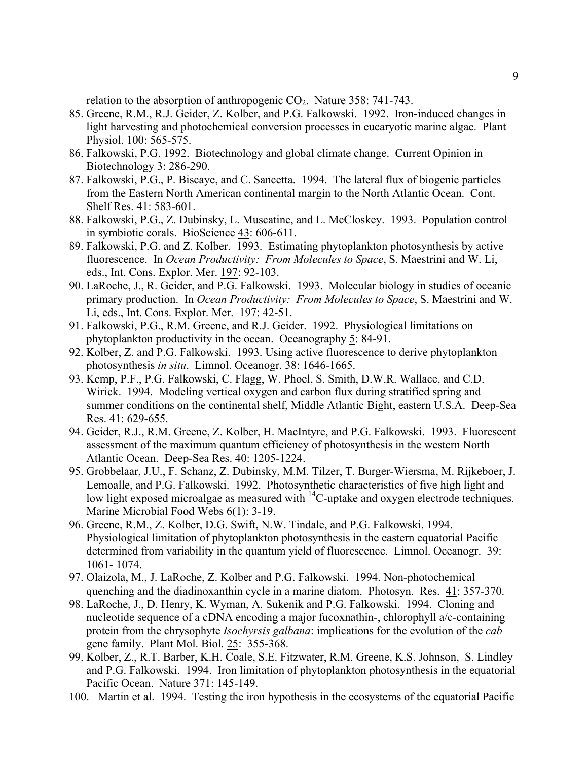relation to the absorption of anthropogenic  $CO<sub>2</sub>$ . Nature 358: 741-743.

- 85. Greene, R.M., R.J. Geider, Z. Kolber, and P.G. Falkowski. 1992. Iron-induced changes in light harvesting and photochemical conversion processes in eucaryotic marine algae. Plant Physiol. 100: 565-575.
- 86. Falkowski, P.G. 1992. Biotechnology and global climate change. Current Opinion in Biotechnology 3: 286-290.
- 87. Falkowski, P.G., P. Biscaye, and C. Sancetta. 1994. The lateral flux of biogenic particles from the Eastern North American continental margin to the North Atlantic Ocean. Cont. Shelf Res. 41: 583-601.
- 88. Falkowski, P.G., Z. Dubinsky, L. Muscatine, and L. McCloskey. 1993. Population control in symbiotic corals. BioScience 43: 606-611.
- 89. Falkowski, P.G. and Z. Kolber. 1993. Estimating phytoplankton photosynthesis by active fluorescence. In *Ocean Productivity: From Molecules to Space*, S. Maestrini and W. Li, eds., Int. Cons. Explor. Mer. 197: 92-103.
- 90. LaRoche, J., R. Geider, and P.G. Falkowski. 1993. Molecular biology in studies of oceanic primary production. In *Ocean Productivity: From Molecules to Space*, S. Maestrini and W. Li, eds., Int. Cons. Explor. Mer. 197: 42-51.
- 91. Falkowski, P.G., R.M. Greene, and R.J. Geider. 1992. Physiological limitations on phytoplankton productivity in the ocean. Oceanography 5: 84-91.
- 92. Kolber, Z. and P.G. Falkowski. 1993. Using active fluorescence to derive phytoplankton photosynthesis *in situ*. Limnol. Oceanogr. 38: 1646-1665.
- 93. Kemp, P.F., P.G. Falkowski, C. Flagg, W. Phoel, S. Smith, D.W.R. Wallace, and C.D. Wirick. 1994. Modeling vertical oxygen and carbon flux during stratified spring and summer conditions on the continental shelf, Middle Atlantic Bight, eastern U.S.A. Deep-Sea Res. 41: 629-655.
- 94. Geider, R.J., R.M. Greene, Z. Kolber, H. MacIntyre, and P.G. Falkowski. 1993. Fluorescent assessment of the maximum quantum efficiency of photosynthesis in the western North Atlantic Ocean. Deep-Sea Res. 40: 1205-1224.
- 95. Grobbelaar, J.U., F. Schanz, Z. Dubinsky, M.M. Tilzer, T. Burger-Wiersma, M. Rijkeboer, J. Lemoalle, and P.G. Falkowski. 1992. Photosynthetic characteristics of five high light and low light exposed microalgae as measured with <sup>14</sup>C-uptake and oxygen electrode techniques. Marine Microbial Food Webs 6(1): 3-19.
- 96. Greene, R.M., Z. Kolber, D.G. Swift, N.W. Tindale, and P.G. Falkowski. 1994. Physiological limitation of phytoplankton photosynthesis in the eastern equatorial Pacific determined from variability in the quantum yield of fluorescence. Limnol. Oceanogr. 39: 1061- 1074.
- 97. Olaizola, M., J. LaRoche, Z. Kolber and P.G. Falkowski. 1994. Non-photochemical quenching and the diadinoxanthin cycle in a marine diatom. Photosyn. Res. 41: 357-370.
- 98. LaRoche, J., D. Henry, K. Wyman, A. Sukenik and P.G. Falkowski. 1994. Cloning and nucleotide sequence of a cDNA encoding a major fucoxnathin-, chlorophyll a/c-containing protein from the chrysophyte *Isochyrsis galbana*: implications for the evolution of the *cab* gene family. Plant Mol. Biol. 25: 355-368.
- 99. Kolber, Z., R.T. Barber, K.H. Coale, S.E. Fitzwater, R.M. Greene, K.S. Johnson, S. Lindley and P.G. Falkowski. 1994. Iron limitation of phytoplankton photosynthesis in the equatorial Pacific Ocean. Nature 371: 145-149.
- 100. Martin et al. 1994. Testing the iron hypothesis in the ecosystems of the equatorial Pacific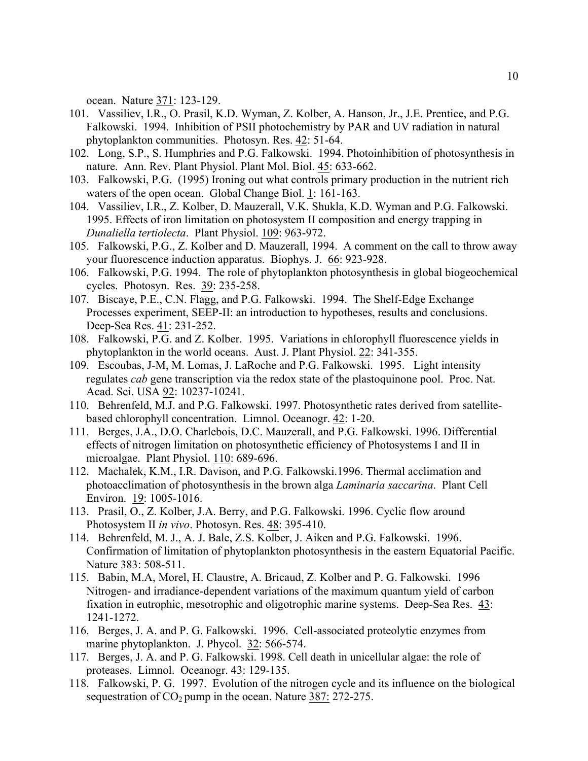ocean. Nature 371: 123-129.

- 101. Vassiliev, I.R., O. Prasil, K.D. Wyman, Z. Kolber, A. Hanson, Jr., J.E. Prentice, and P.G. Falkowski. 1994. Inhibition of PSII photochemistry by PAR and UV radiation in natural phytoplankton communities. Photosyn. Res. 42: 51-64.
- 102. Long, S.P., S. Humphries and P.G. Falkowski. 1994. Photoinhibition of photosynthesis in nature. Ann. Rev. Plant Physiol. Plant Mol. Biol. 45: 633-662.
- 103. Falkowski, P.G. (1995) Ironing out what controls primary production in the nutrient rich waters of the open ocean. Global Change Biol. 1: 161-163.
- 104. Vassiliev, I.R., Z. Kolber, D. Mauzerall, V.K. Shukla, K.D. Wyman and P.G. Falkowski. 1995. Effects of iron limitation on photosystem II composition and energy trapping in *Dunaliella tertiolecta*. Plant Physiol. 109: 963-972.
- 105. Falkowski, P.G., Z. Kolber and D. Mauzerall, 1994. A comment on the call to throw away your fluorescence induction apparatus. Biophys. J. 66: 923-928.
- 106. Falkowski, P.G. 1994. The role of phytoplankton photosynthesis in global biogeochemical cycles. Photosyn. Res. 39: 235-258.
- 107. Biscaye, P.E., C.N. Flagg, and P.G. Falkowski. 1994. The Shelf-Edge Exchange Processes experiment, SEEP-II: an introduction to hypotheses, results and conclusions. Deep-Sea Res. 41: 231-252.
- 108. Falkowski, P.G. and Z. Kolber. 1995. Variations in chlorophyll fluorescence yields in phytoplankton in the world oceans. Aust. J. Plant Physiol. 22: 341-355.
- 109. Escoubas, J-M, M. Lomas, J. LaRoche and P.G. Falkowski. 1995. Light intensity regulates *cab* gene transcription via the redox state of the plastoquinone pool. Proc. Nat. Acad. Sci. USA 92: 10237-10241.
- 110. Behrenfeld, M.J. and P.G. Falkowski. 1997. Photosynthetic rates derived from satellitebased chlorophyll concentration. Limnol. Oceanogr. 42: 1-20.
- 111. Berges, J.A., D.O. Charlebois, D.C. Mauzerall, and P.G. Falkowski. 1996. Differential effects of nitrogen limitation on photosynthetic efficiency of Photosystems I and II in microalgae. Plant Physiol. 110: 689-696.
- 112. Machalek, K.M., I.R. Davison, and P.G. Falkowski.1996. Thermal acclimation and photoacclimation of photosynthesis in the brown alga *Laminaria saccarina*. Plant Cell Environ. 19: 1005-1016.
- 113. Prasil, O., Z. Kolber, J.A. Berry, and P.G. Falkowski. 1996. Cyclic flow around Photosystem II *in vivo*. Photosyn. Res. 48: 395-410.
- 114. Behrenfeld, M. J., A. J. Bale, Z.S. Kolber, J. Aiken and P.G. Falkowski. 1996. Confirmation of limitation of phytoplankton photosynthesis in the eastern Equatorial Pacific. Nature 383: 508-511.
- 115. Babin, M.A, Morel, H. Claustre, A. Bricaud, Z. Kolber and P. G. Falkowski. 1996 Nitrogen- and irradiance-dependent variations of the maximum quantum yield of carbon fixation in eutrophic, mesotrophic and oligotrophic marine systems. Deep-Sea Res. 43: 1241-1272.
- 116. Berges, J. A. and P. G. Falkowski. 1996. Cell-associated proteolytic enzymes from marine phytoplankton. J. Phycol. 32: 566-574.
- 117. Berges, J. A. and P. G. Falkowski. 1998. Cell death in unicellular algae: the role of proteases. Limnol. Oceanogr. 43: 129-135.
- 118. Falkowski, P. G. 1997. Evolution of the nitrogen cycle and its influence on the biological sequestration of  $CO<sub>2</sub>$  pump in the ocean. Nature 387: 272-275.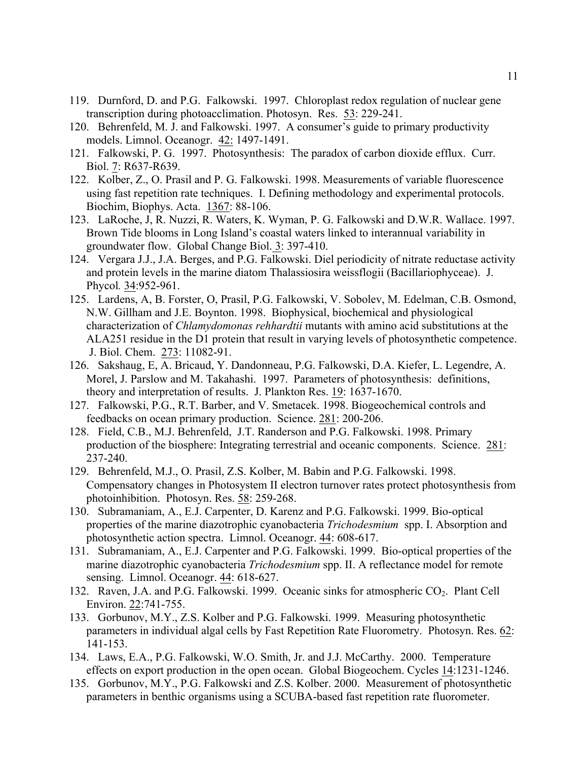- 119. Durnford, D. and P.G. Falkowski. 1997. Chloroplast redox regulation of nuclear gene transcription during photoacclimation. Photosyn. Res. 53: 229-241.
- 120. Behrenfeld, M. J. and Falkowski. 1997. A consumer's guide to primary productivity models. Limnol. Oceanogr. 42: 1497-1491.
- 121. Falkowski, P. G. 1997. Photosynthesis: The paradox of carbon dioxide efflux. Curr. Biol. 7: R637-R639.
- 122. Kolber, Z., O. Prasil and P. G. Falkowski. 1998. Measurements of variable fluorescence using fast repetition rate techniques. I. Defining methodology and experimental protocols. Biochim, Biophys. Acta. 1367: 88-106.
- 123. LaRoche, J, R. Nuzzi, R. Waters, K. Wyman, P. G. Falkowski and D.W.R. Wallace. 1997. Brown Tide blooms in Long Island's coastal waters linked to interannual variability in groundwater flow. Global Change Biol. 3: 397-410.
- 124. Vergara J.J., J.A. Berges, and P.G. Falkowski. Diel periodicity of nitrate reductase activity and protein levels in the marine diatom Thalassiosira weissflogii (Bacillariophyceae). J. Phycol*.* 34:952-961.
- 125. Lardens, A, B. Forster, O, Prasil, P.G. Falkowski, V. Sobolev, M. Edelman, C.B. Osmond, N.W. Gillham and J.E. Boynton. 1998. Biophysical, biochemical and physiological characterization of *Chlamydomonas rehhardtii* mutants with amino acid substitutions at the ALA251 residue in the D1 protein that result in varying levels of photosynthetic competence. J. Biol. Chem. 273: 11082-91.
- 126. Sakshaug, E, A. Bricaud, Y. Dandonneau, P.G. Falkowski, D.A. Kiefer, L. Legendre, A. Morel, J. Parslow and M. Takahashi. 1997. Parameters of photosynthesis: definitions, theory and interpretation of results. J. Plankton Res. 19: 1637-1670.
- 127. Falkowski, P.G., R.T. Barber, and V. Smetacek. 1998. Biogeochemical controls and feedbacks on ocean primary production. Science. 281: 200-206.
- 128. Field, C.B., M.J. Behrenfeld, J.T. Randerson and P.G. Falkowski. 1998. Primary production of the biosphere: Integrating terrestrial and oceanic components. Science. 281: 237-240.
- 129. Behrenfeld, M.J., O. Prasil, Z.S. Kolber, M. Babin and P.G. Falkowski. 1998. Compensatory changes in Photosystem II electron turnover rates protect photosynthesis from photoinhibition. Photosyn. Res. 58: 259-268.
- 130. Subramaniam, A., E.J. Carpenter, D. Karenz and P.G. Falkowski. 1999. Bio-optical properties of the marine diazotrophic cyanobacteria *Trichodesmium* spp. I. Absorption and photosynthetic action spectra. Limnol. Oceanogr. 44: 608-617.
- 131. Subramaniam, A., E.J. Carpenter and P.G. Falkowski. 1999. Bio-optical properties of the marine diazotrophic cyanobacteria *Trichodesmium* spp. II. A reflectance model for remote sensing. Limnol. Oceanogr. 44: 618-627.
- 132. Raven, J.A. and P.G. Falkowski. 1999. Oceanic sinks for atmospheric CO<sub>2</sub>. Plant Cell Environ. 22:741-755.
- 133. Gorbunov, M.Y., Z.S. Kolber and P.G. Falkowski. 1999. Measuring photosynthetic parameters in individual algal cells by Fast Repetition Rate Fluorometry. Photosyn. Res. 62: 141-153.
- 134. Laws, E.A., P.G. Falkowski, W.O. Smith, Jr. and J.J. McCarthy. 2000. Temperature effects on export production in the open ocean. Global Biogeochem. Cycles 14:1231-1246.
- 135. Gorbunov, M.Y., P.G. Falkowski and Z.S. Kolber. 2000. Measurement of photosynthetic parameters in benthic organisms using a SCUBA-based fast repetition rate fluorometer.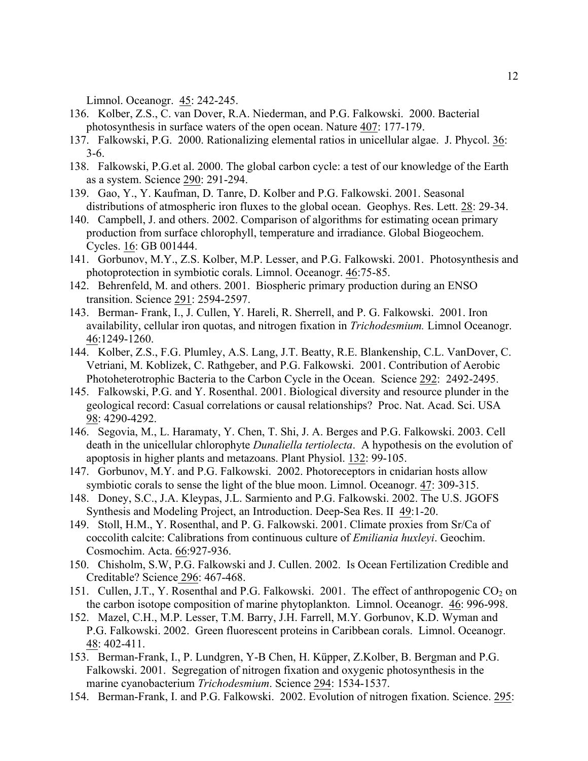Limnol. Oceanogr. 45: 242-245.

- 136. Kolber, Z.S., C. van Dover, R.A. Niederman, and P.G. Falkowski. 2000. Bacterial photosynthesis in surface waters of the open ocean. Nature 407: 177-179.
- 137. Falkowski, P.G. 2000. Rationalizing elemental ratios in unicellular algae. J. Phycol. 36: 3-6.
- 138. Falkowski, P.G.et al. 2000. The global carbon cycle: a test of our knowledge of the Earth as a system. Science 290: 291-294.
- 139. Gao, Y., Y. Kaufman, D. Tanre, D. Kolber and P.G. Falkowski. 2001. Seasonal distributions of atmospheric iron fluxes to the global ocean. Geophys. Res. Lett. 28: 29-34.
- 140. Campbell, J. and others. 2002. Comparison of algorithms for estimating ocean primary production from surface chlorophyll, temperature and irradiance. Global Biogeochem. Cycles. 16: GB 001444.
- 141. Gorbunov, M.Y., Z.S. Kolber, M.P. Lesser, and P.G. Falkowski. 2001. Photosynthesis and photoprotection in symbiotic corals. Limnol. Oceanogr. 46:75-85.
- 142. Behrenfeld, M. and others. 2001. Biospheric primary production during an ENSO transition. Science 291: 2594-2597.
- 143. Berman- Frank, I., J. Cullen, Y. Hareli, R. Sherrell, and P. G. Falkowski. 2001. Iron availability, cellular iron quotas, and nitrogen fixation in *Trichodesmium.* Limnol Oceanogr. 46:1249-1260.
- 144. Kolber, Z.S., F.G. Plumley, A.S. Lang, J.T. Beatty, R.E. Blankenship, C.L. VanDover, C. Vetriani, M. Koblizek, C. Rathgeber, and P.G. Falkowski. 2001. Contribution of Aerobic Photoheterotrophic Bacteria to the Carbon Cycle in the Ocean. Science 292: 2492-2495.
- 145. Falkowski, P.G. and Y. Rosenthal. 2001. Biological diversity and resource plunder in the geological record: Casual correlations or causal relationships? Proc. Nat. Acad. Sci. USA 98: 4290-4292.
- 146. Segovia, M., L. Haramaty, Y. Chen, T. Shi, J. A. Berges and P.G. Falkowski. 2003. Cell death in the unicellular chlorophyte *Dunaliella tertiolecta*. A hypothesis on the evolution of apoptosis in higher plants and metazoans. Plant Physiol. 132: 99-105.
- 147. Gorbunov, M.Y. and P.G. Falkowski. 2002. Photoreceptors in cnidarian hosts allow symbiotic corals to sense the light of the blue moon. Limnol. Oceanogr. 47: 309-315.
- 148. Doney, S.C., J.A. Kleypas, J.L. Sarmiento and P.G. Falkowski. 2002. The U.S. JGOFS Synthesis and Modeling Project, an Introduction. Deep-Sea Res. II 49:1-20.
- 149. Stoll, H.M., Y. Rosenthal, and P. G. Falkowski. 2001. Climate proxies from Sr/Ca of coccolith calcite: Calibrations from continuous culture of *Emiliania huxleyi*. Geochim. Cosmochim. Acta. 66:927-936.
- 150. Chisholm, S.W, P.G. Falkowski and J. Cullen. 2002. Is Ocean Fertilization Credible and Creditable? Science 296: 467-468.
- 151. Cullen, J.T., Y. Rosenthal and P.G. Falkowski. 2001. The effect of anthropogenic CO<sub>2</sub> on the carbon isotope composition of marine phytoplankton. Limnol. Oceanogr. 46: 996-998.
- 152. Mazel, C.H., M.P. Lesser, T.M. Barry, J.H. Farrell, M.Y. Gorbunov, K.D. Wyman and P.G. Falkowski. 2002. Green fluorescent proteins in Caribbean corals. Limnol. Oceanogr. 48: 402-411.
- 153. Berman-Frank, I., P. Lundgren, Y-B Chen, H. Küpper, Z.Kolber, B. Bergman and P.G. Falkowski. 2001. Segregation of nitrogen fixation and oxygenic photosynthesis in the marine cyanobacterium *Trichodesmium*. Science 294: 1534-1537.
- 154. Berman-Frank, I. and P.G. Falkowski. 2002. Evolution of nitrogen fixation. Science. 295: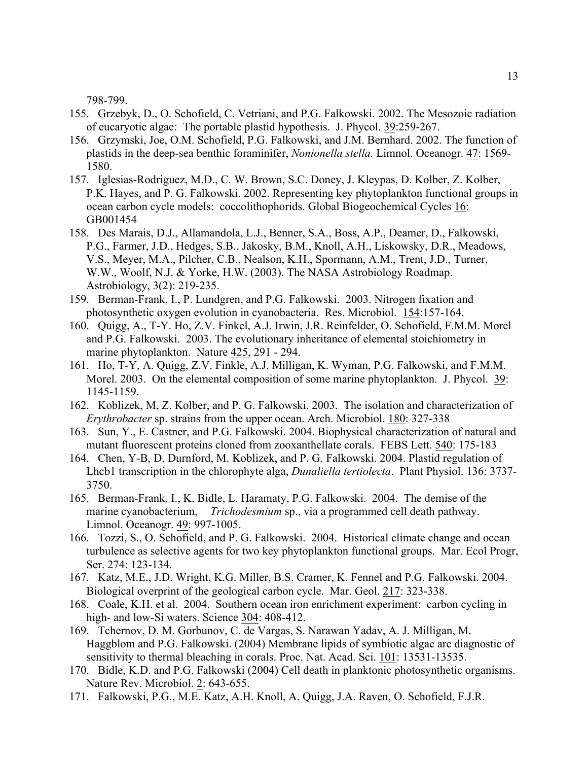798-799.

- 155. Grzebyk, D., O. Schofield, C. Vetriani, and P.G. Falkowski. 2002. The Mesozoic radiation of eucaryotic algae: The portable plastid hypothesis. J. Phycol. 39:259-267.
- 156. Grzymski, Joe, O.M. Schofield, P.G. Falkowski, and J.M. Bernhard. 2002. The function of plastids in the deep-sea benthic foraminifer, *Nonionella stella.* Limnol. Oceanogr. 47: 1569- 1580.
- 157. Iglesias-Rodriguez, M.D., C. W. Brown, S.C. Doney, J. Kleypas, D. Kolber, Z. Kolber, P.K. Hayes, and P. G. Falkowski. 2002. Representing key phytoplankton functional groups in ocean carbon cycle models: coccolithophorids. Global Biogeochemical Cycles 16: GB001454
- 158. Des Marais, D.J., Allamandola, L.J., Benner, S.A., Boss, A.P., Deamer, D., Falkowski, P.G., Farmer, J.D., Hedges, S.B., Jakosky, B.M., Knoll, A.H., Liskowsky, D.R., Meadows, V.S., Meyer, M.A., Pilcher, C.B., Nealson, K.H., Spormann, A.M., Trent, J.D., Turner, W.W., Woolf, N.J. & Yorke, H.W. (2003). The NASA Astrobiology Roadmap. Astrobiology, 3(2): 219-235.
- 159. Berman-Frank, I., P. Lundgren, and P.G. Falkowski. 2003. Nitrogen fixation and photosynthetic oxygen evolution in cyanobacteria. Res. Microbiol. 154:157-164.
- 160. Quigg, A., T-Y. Ho, Z.V. Finkel, A.J. Irwin, J.R. Reinfelder, O. Schofield, F.M.M. Morel and P.G. Falkowski. 2003. The evolutionary inheritance of elemental stoichiometry in marine phytoplankton. Nature 425, 291 - 294.
- 161. Ho, T-Y, A. Quigg, Z.V. Finkle, A.J. Milligan, K. Wyman, P.G. Falkowski, and F.M.M. Morel. 2003. On the elemental composition of some marine phytoplankton. J. Phycol. 39: 1145-1159.
- 162. Koblizek, M, Z. Kolber, and P. G. Falkowski. 2003. The isolation and characterization of *Erythrobacter* sp. strains from the upper ocean. Arch. Microbiol. 180: 327-338
- 163. Sun, Y., E. Castner, and P.G. Falkowski. 2004. Biophysical characterization of natural and mutant fluorescent proteins cloned from zooxanthellate corals. FEBS Lett. 540: 175-183
- 164. Chen, Y-B, D. Durnford, M. Koblizek, and P. G. Falkowski. 2004. Plastid regulation of Lhcb1 transcription in the chlorophyte alga, *Dunaliella tertiolecta*. Plant Physiol. 136: 3737- 3750.
- 165. Berman-Frank, I., K. Bidle, L. Haramaty, P.G. Falkowski. 2004. The demise of the marine cyanobacterium, *Trichodesmium* sp., via a programmed cell death pathway. Limnol. Oceanogr. 49: 997-1005.
- 166. Tozzi, S., O. Schofield, and P. G. Falkowski. 2004. Historical climate change and ocean turbulence as selective agents for two key phytoplankton functional groups. Mar. Ecol Progr, Ser. 274: 123-134.
- 167. Katz, M.E., J.D. Wright, K.G. Miller, B.S. Cramer, K. Fennel and P.G. Falkowski. 2004. Biological overprint of the geological carbon cycle. Mar. Geol. 217: 323-338.
- 168. Coale, K.H. et al. 2004. Southern ocean iron enrichment experiment: carbon cycling in high- and low-Si waters. Science 304: 408-412.
- 169. Tchernov, D. M. Gorbunov, C. de Vargas, S. Narawan Yadav, A. J. Milligan, M. Haggblom and P.G. Falkowski. (2004) Membrane lipids of symbiotic algae are diagnostic of sensitivity to thermal bleaching in corals. Proc. Nat. Acad. Sci. 101: 13531-13535.
- 170. Bidle, K.D. and P.G. Falkowski (2004) Cell death in planktonic photosynthetic organisms. Nature Rev. Microbiol. 2: 643-655.
- 171. Falkowski, P.G., M.E. Katz, A.H. Knoll, A. Quigg, J.A. Raven, O. Schofield, F.J.R.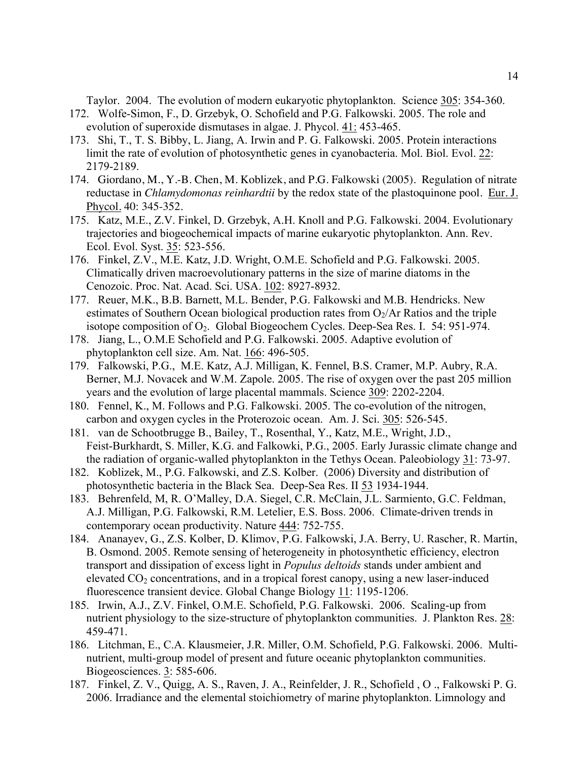Taylor. 2004. The evolution of modern eukaryotic phytoplankton. Science 305: 354-360.

- 172. Wolfe-Simon, F., D. Grzebyk, O. Schofield and P.G. Falkowski. 2005. The role and evolution of superoxide dismutases in algae. J. Phycol. 41: 453-465.
- 173. Shi, T., T. S. Bibby, L. Jiang, A. Irwin and P. G. Falkowski. 2005. Protein interactions limit the rate of evolution of photosynthetic genes in cyanobacteria. Mol. Biol. Evol. 22: 2179-2189.
- 174. Giordano, M., Y.-B. Chen, M. Koblizek, and P.G. Falkowski (2005). Regulation of nitrate reductase in *Chlamydomonas reinhardtii* by the redox state of the plastoquinone pool. Eur. J. Phycol. 40: 345-352.
- 175. Katz, M.E., Z.V. Finkel, D. Grzebyk, A.H. Knoll and P.G. Falkowski. 2004. Evolutionary trajectories and biogeochemical impacts of marine eukaryotic phytoplankton. Ann. Rev. Ecol. Evol. Syst. 35: 523-556.
- 176. Finkel, Z.V., M.E. Katz, J.D. Wright, O.M.E. Schofield and P.G. Falkowski. 2005. Climatically driven macroevolutionary patterns in the size of marine diatoms in the Cenozoic. Proc. Nat. Acad. Sci. USA. 102: 8927-8932.
- 177. Reuer, M.K., B.B. Barnett, M.L. Bender, P.G. Falkowski and M.B. Hendricks. New estimates of Southern Ocean biological production rates from  $O_2/Ar$  Ratios and the triple isotope composition of  $O<sub>2</sub>$ . Global Biogeochem Cycles. Deep-Sea Res. I. 54: 951-974.
- 178. Jiang, L., O.M.E Schofield and P.G. Falkowski. 2005. Adaptive evolution of phytoplankton cell size. Am. Nat. 166: 496-505.
- 179. Falkowski, P.G., M.E. Katz, A.J. Milligan, K. Fennel, B.S. Cramer, M.P. Aubry, R.A. Berner, M.J. Novacek and W.M. Zapole. 2005. The rise of oxygen over the past 205 million years and the evolution of large placental mammals. Science 309: 2202-2204.
- 180. Fennel, K., M. Follows and P.G. Falkowski. 2005. The co-evolution of the nitrogen, carbon and oxygen cycles in the Proterozoic ocean. Am. J. Sci. 305: 526-545.
- 181. van de Schootbrugge B., Bailey, T., Rosenthal, Y., Katz, M.E., Wright, J.D., Feist-Burkhardt, S. Miller, K.G. and Falkowki, P.G., 2005. Early Jurassic climate change and the radiation of organic-walled phytoplankton in the Tethys Ocean. Paleobiology 31: 73-97.
- 182. Koblizek, M., P.G. Falkowski, and Z.S. Kolber. (2006) Diversity and distribution of photosynthetic bacteria in the Black Sea. Deep-Sea Res. II 53 1934-1944.
- 183. Behrenfeld, M, R. O'Malley, D.A. Siegel, C.R. McClain, J.L. Sarmiento, G.C. Feldman, A.J. Milligan, P.G. Falkowski, R.M. Letelier, E.S. Boss. 2006. Climate-driven trends in contemporary ocean productivity. Nature 444: 752-755.
- 184. Ananayev, G., Z.S. Kolber, D. Klimov, P.G. Falkowski, J.A. Berry, U. Rascher, R. Martin, B. Osmond. 2005. Remote sensing of heterogeneity in photosynthetic efficiency, electron transport and dissipation of excess light in *Populus deltoids* stands under ambient and elevated  $CO<sub>2</sub>$  concentrations, and in a tropical forest canopy, using a new laser-induced fluorescence transient device. Global Change Biology 11: 1195-1206.
- 185. Irwin, A.J., Z.V. Finkel, O.M.E. Schofield, P.G. Falkowski. 2006. Scaling-up from nutrient physiology to the size-structure of phytoplankton communities. J. Plankton Res. 28: 459-471.
- 186. Litchman, E., C.A. Klausmeier, J.R. Miller, O.M. Schofield, P.G. Falkowski. 2006. Multinutrient, multi-group model of present and future oceanic phytoplankton communities. Biogeosciences. 3: 585-606.
- 187. Finkel, Z. V., Quigg, A. S., Raven, J. A., Reinfelder, J. R., Schofield , O ., Falkowski P. G. 2006. Irradiance and the elemental stoichiometry of marine phytoplankton. Limnology and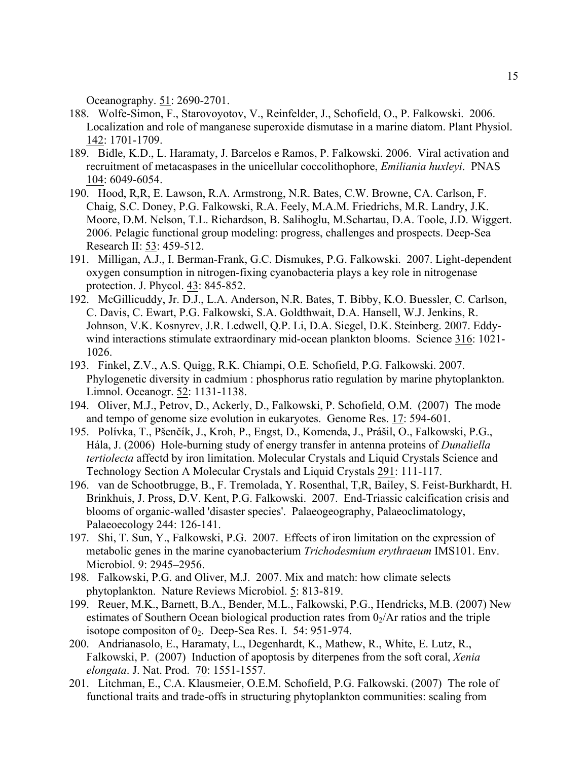Oceanography. 51: 2690-2701.

- 188. Wolfe-Simon, F., Starovoyotov, V., Reinfelder, J., Schofield, O., P. Falkowski. 2006. Localization and role of manganese superoxide dismutase in a marine diatom. Plant Physiol. 142: 1701-1709.
- 189. Bidle, K.D., L. Haramaty, J. Barcelos e Ramos, P. Falkowski. 2006. Viral activation and recruitment of metacaspases in the unicellular coccolithophore, *Emiliania huxleyi*. PNAS 104: 6049-6054.
- 190. Hood, R,R, E. Lawson, R.A. Armstrong, N.R. Bates, C.W. Browne, CA. Carlson, F. Chaig, S.C. Doney, P.G. Falkowski, R.A. Feely, M.A.M. Friedrichs, M.R. Landry, J.K. Moore, D.M. Nelson, T.L. Richardson, B. Salihoglu, M.Schartau, D.A. Toole, J.D. Wiggert. 2006. Pelagic functional group modeling: progress, challenges and prospects. Deep-Sea Research II: 53: 459-512.
- 191. Milligan, A.J., I. Berman-Frank, G.C. Dismukes, P.G. Falkowski. 2007. Light-dependent oxygen consumption in nitrogen-fixing cyanobacteria plays a key role in nitrogenase protection. J. Phycol. 43: 845-852.
- 192. McGillicuddy, Jr. D.J., L.A. Anderson, N.R. Bates, T. Bibby, K.O. Buessler, C. Carlson, C. Davis, C. Ewart, P.G. Falkowski, S.A. Goldthwait, D.A. Hansell, W.J. Jenkins, R. Johnson, V.K. Kosnyrev, J.R. Ledwell, Q.P. Li, D.A. Siegel, D.K. Steinberg. 2007. Eddywind interactions stimulate extraordinary mid-ocean plankton blooms. Science 316: 1021- 1026.
- 193. Finkel, Z.V., A.S. Quigg, R.K. Chiampi, O.E. Schofield, P.G. Falkowski. 2007. Phylogenetic diversity in cadmium : phosphorus ratio regulation by marine phytoplankton. Limnol. Oceanogr. 52: 1131-1138.
- 194. Oliver, M.J., Petrov, D., Ackerly, D., Falkowski, P. Schofield, O.M. (2007) The mode and tempo of genome size evolution in eukaryotes. Genome Res. 17: 594-601.
- 195. Polívka, T., Pšenčík, J., Kroh, P., Engst, D., Komenda, J., Prášil, O., Falkowski, P.G., Hála, J. (2006) Hole-burning study of energy transfer in antenna proteins of *Dunaliella tertiolecta* affectd by iron limitation. Molecular Crystals and Liquid Crystals Science and Technology Section A Molecular Crystals and Liquid Crystals 291: 111-117.
- 196. van de Schootbrugge, B., F. Tremolada, Y. Rosenthal, T,R, Bailey, S. Feist-Burkhardt, H. Brinkhuis, J. Pross, D.V. Kent, P.G. Falkowski. 2007. End-Triassic calcification crisis and blooms of organic-walled 'disaster species'. Palaeogeography, Palaeoclimatology, Palaeoecology 244: 126-141.
- 197. Shi, T. Sun, Y., Falkowski, P.G. 2007. Effects of iron limitation on the expression of metabolic genes in the marine cyanobacterium *Trichodesmium erythraeum* IMS101. Env. Microbiol. 9: 2945–2956.
- 198. Falkowski, P.G. and Oliver, M.J. 2007. Mix and match: how climate selects phytoplankton. Nature Reviews Microbiol. 5: 813-819.
- 199. Reuer, M.K., Barnett, B.A., Bender, M.L., Falkowski, P.G., Hendricks, M.B. (2007) New estimates of Southern Ocean biological production rates from  $0<sub>2</sub>/Ar$  ratios and the triple isotope compositon of  $0_2$ . Deep-Sea Res. I. 54: 951-974.
- 200. Andrianasolo, E., Haramaty, L., Degenhardt, K., Mathew, R., White, E. Lutz, R., Falkowski, P. (2007) Induction of apoptosis by diterpenes from the soft coral, *Xenia elongata*. J. Nat. Prod. 70: 1551-1557.
- 201. Litchman, E., C.A. Klausmeier, O.E.M. Schofield, P.G. Falkowski. (2007) The role of functional traits and trade-offs in structuring phytoplankton communities: scaling from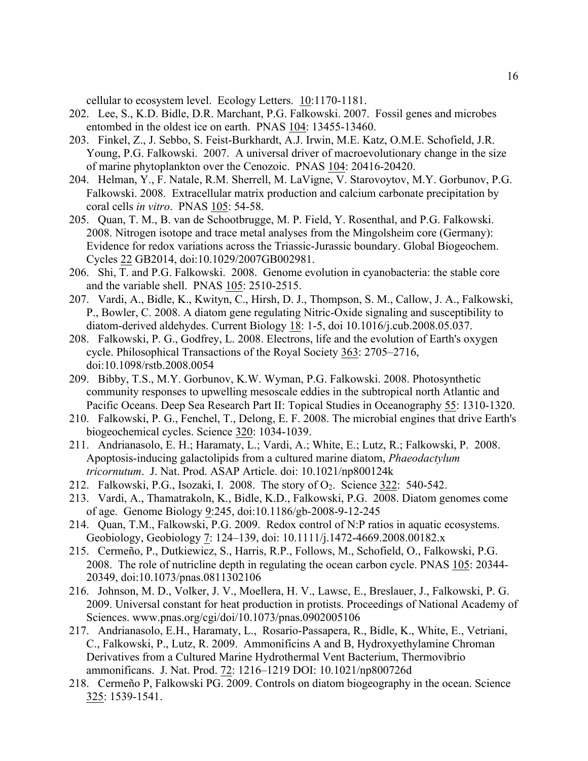cellular to ecosystem level. Ecology Letters. 10:1170-1181.

- 202. Lee, S., K.D. Bidle, D.R. Marchant, P.G. Falkowski. 2007. Fossil genes and microbes entombed in the oldest ice on earth. PNAS 104: 13455-13460.
- 203. Finkel, Z., J. Sebbo, S. Feist-Burkhardt, A.J. Irwin, M.E. Katz, O.M.E. Schofield, J.R. Young, P.G. Falkowski. 2007. A universal driver of macroevolutionary change in the size of marine phytoplankton over the Cenozoic. PNAS 104: 20416-20420.
- 204. Helman, Y., F. Natale, R.M. Sherrell, M. LaVigne, V. Starovoytov, M.Y. Gorbunov, P.G. Falkowski. 2008. Extracellular matrix production and calcium carbonate precipitation by coral cells *in vitro*. PNAS 105: 54-58.
- 205. Quan, T. M., B. van de Schootbrugge, M. P. Field, Y. Rosenthal, and P.G. Falkowski. 2008. Nitrogen isotope and trace metal analyses from the Mingolsheim core (Germany): Evidence for redox variations across the Triassic-Jurassic boundary. Global Biogeochem. Cycles 22 GB2014, doi:10.1029/2007GB002981.
- 206. Shi, T. and P.G. Falkowski. 2008. Genome evolution in cyanobacteria: the stable core and the variable shell. PNAS 105: 2510-2515.
- 207. Vardi, A., Bidle, K., Kwityn, C., Hirsh, D. J., Thompson, S. M., Callow, J. A., Falkowski, P., Bowler, C. 2008. A diatom gene regulating Nitric-Oxide signaling and susceptibility to diatom-derived aldehydes. Current Biology 18: 1-5, doi 10.1016/j.cub.2008.05.037.
- 208. Falkowski, P. G., Godfrey, L. 2008. Electrons, life and the evolution of Earth's oxygen cycle. Philosophical Transactions of the Royal Society 363: 2705–2716, doi:10.1098/rstb.2008.0054
- 209. Bibby, T.S., M.Y. Gorbunov, K.W. Wyman, P.G. Falkowski. 2008. Photosynthetic community responses to upwelling mesoscale eddies in the subtropical north Atlantic and Pacific Oceans. Deep Sea Research Part II: Topical Studies in Oceanography 55: 1310-1320.
- 210. Falkowski, P. G., Fenchel, T., Delong, E. F. 2008. The microbial engines that drive Earth's biogeochemical cycles. Science 320: 1034-1039.
- 211. Andrianasolo, E. H.; Haramaty, L.; Vardi, A.; White, E.; Lutz, R.; Falkowski, P. 2008. Apoptosis-inducing galactolipids from a cultured marine diatom, *Phaeodactylum tricornutum*. J. Nat. Prod. ASAP Article. doi: 10.1021/np800124k
- 212. Falkowski, P.G., Isozaki, I. 2008. The story of  $O_2$ . Science 322: 540-542.
- 213. Vardi, A., Thamatrakoln, K., Bidle, K.D., Falkowski, P.G. 2008. Diatom genomes come of age. Genome Biology 9:245, doi:10.1186/gb-2008-9-12-245
- 214. Quan, T.M., Falkowski, P.G. 2009. Redox control of N:P ratios in aquatic ecosystems. Geobiology, Geobiology 7: 124–139, doi: 10.1111/j.1472-4669.2008.00182.x
- 215. Cermeño, P., Dutkiewicz, S., Harris, R.P., Follows, M., Schofield, O., Falkowski, P.G. 2008. The role of nutricline depth in regulating the ocean carbon cycle. PNAS 105: 20344- 20349, doi:10.1073/pnas.0811302106
- 216. Johnson, M. D., Volker, J. V., Moellera, H. V., Lawsc, E., Breslauer, J., Falkowski, P. G. 2009. Universal constant for heat production in protists. Proceedings of National Academy of Sciences. www.pnas.org/cgi/doi/10.1073/pnas.0902005106
- 217. Andrianasolo, E.H., Haramaty, L., Rosario-Passapera, R., Bidle, K., White, E., Vetriani, C., Falkowski, P., Lutz, R. 2009. Ammonificins A and B, Hydroxyethylamine Chroman Derivatives from a Cultured Marine Hydrothermal Vent Bacterium, Thermovibrio ammonificans. J. Nat. Prod. 72: 1216–1219 DOI: 10.1021/np800726d
- 218. Cermeño P, Falkowski PG. 2009. Controls on diatom biogeography in the ocean. Science 325: 1539-1541.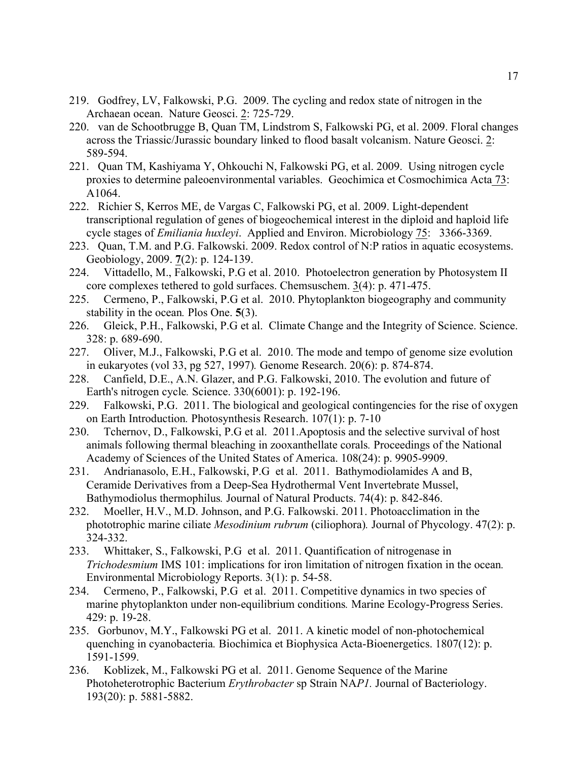- 219. Godfrey, LV, Falkowski, P.G. 2009. The cycling and redox state of nitrogen in the Archaean ocean. Nature Geosci. 2: 725-729.
- 220. van de Schootbrugge B, Quan TM, Lindstrom S, Falkowski PG, et al. 2009. Floral changes across the Triassic/Jurassic boundary linked to flood basalt volcanism. Nature Geosci. 2: 589-594.
- 221. Quan TM, Kashiyama Y, Ohkouchi N, Falkowski PG, et al. 2009. Using nitrogen cycle proxies to determine paleoenvironmental variables. Geochimica et Cosmochimica Acta 73: A1064.
- 222. Richier S, Kerros ME, de Vargas C, Falkowski PG, et al. 2009. Light-dependent transcriptional regulation of genes of biogeochemical interest in the diploid and haploid life cycle stages of *Emiliania huxleyi*. Applied and Environ. Microbiology 75: 3366-3369.
- 223. Quan, T.M. and P.G. Falkowski. 2009. Redox control of N:P ratios in aquatic ecosystems. Geobiology, 2009. **7**(2): p. 124-139.
- 224. Vittadello, M., Falkowski, P.G et al. 2010. Photoelectron generation by Photosystem II core complexes tethered to gold surfaces. Chemsuschem. 3(4): p. 471-475.
- 225. Cermeno, P., Falkowski, P.G et al. 2010. Phytoplankton biogeography and community stability in the ocean*.* Plos One. **5**(3).
- 226. Gleick, P.H., Falkowski, P.G et al. Climate Change and the Integrity of Science. Science. 328: p. 689-690.
- 227. Oliver, M.J., Falkowski, P.G et al. 2010. The mode and tempo of genome size evolution in eukaryotes (vol 33, pg 527, 1997)*.* Genome Research. 20(6): p. 874-874.
- 228. Canfield, D.E., A.N. Glazer, and P.G. Falkowski, 2010. The evolution and future of Earth's nitrogen cycle*.* Science. 330(6001): p. 192-196.
- 229. Falkowski, P.G. 2011. The biological and geological contingencies for the rise of oxygen on Earth Introduction*.* Photosynthesis Research. 107(1): p. 7-10
- 230. Tchernov, D., Falkowski, P.G et al. 2011.Apoptosis and the selective survival of host animals following thermal bleaching in zooxanthellate corals*.* Proceedings of the National Academy of Sciences of the United States of America. 108(24): p. 9905-9909.
- 231. Andrianasolo, E.H., Falkowski, P.G et al. 2011. Bathymodiolamides A and B, Ceramide Derivatives from a Deep-Sea Hydrothermal Vent Invertebrate Mussel, Bathymodiolus thermophilus*.* Journal of Natural Products. 74(4): p. 842-846.
- 232. Moeller, H.V., M.D. Johnson, and P.G. Falkowski. 2011. Photoacclimation in the phototrophic marine ciliate *Mesodinium rubrum* (ciliophora)*.* Journal of Phycology. 47(2): p. 324-332.
- 233. Whittaker, S., Falkowski, P.G et al. 2011. Quantification of nitrogenase in *Trichodesmium* IMS 101: implications for iron limitation of nitrogen fixation in the ocean*.* Environmental Microbiology Reports. 3(1): p. 54-58.
- 234. Cermeno, P., Falkowski, P.G et al. 2011. Competitive dynamics in two species of marine phytoplankton under non-equilibrium conditions*.* Marine Ecology-Progress Series. 429: p. 19-28.
- 235. Gorbunov, M.Y., Falkowski PG et al. 2011. A kinetic model of non-photochemical quenching in cyanobacteria*.* Biochimica et Biophysica Acta-Bioenergetics. 1807(12): p. 1591-1599.
- 236. Koblizek, M., Falkowski PG et al. 2011. Genome Sequence of the Marine Photoheterotrophic Bacterium *Erythrobacter* sp Strain NA*P1.* Journal of Bacteriology. 193(20): p. 5881-5882.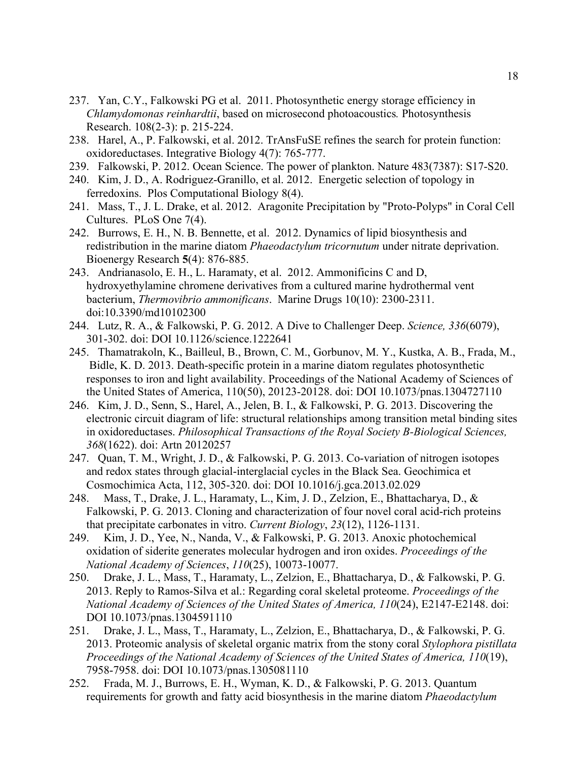- 237. Yan, C.Y., Falkowski PG et al. 2011. Photosynthetic energy storage efficiency in *Chlamydomonas reinhardtii*, based on microsecond photoacoustics*.* Photosynthesis Research. 108(2-3): p. 215-224.
- 238. Harel, A., P. Falkowski, et al. 2012. TrAnsFuSE refines the search for protein function: oxidoreductases. Integrative Biology 4(7): 765-777.
- 239. Falkowski, P. 2012. Ocean Science. The power of plankton. Nature 483(7387): S17-S20.
- 240. Kim, J. D., A. Rodriguez-Granillo, et al. 2012. Energetic selection of topology in ferredoxins. Plos Computational Biology 8(4).
- 241. Mass, T., J. L. Drake, et al. 2012. Aragonite Precipitation by "Proto-Polyps" in Coral Cell Cultures. PLoS One 7(4).
- 242. Burrows, E. H., N. B. Bennette, et al. 2012. Dynamics of lipid biosynthesis and redistribution in the marine diatom *Phaeodactylum tricornutum* under nitrate deprivation. Bioenergy Research **5**(4): 876-885.
- 243. Andrianasolo, E. H., L. Haramaty, et al. 2012. Ammonificins C and D, hydroxyethylamine chromene derivatives from a cultured marine hydrothermal vent bacterium, *Thermovibrio ammonificans*. Marine Drugs 10(10): 2300-2311. doi:10.3390/md10102300
- 244. Lutz, R. A., & Falkowski, P. G. 2012. A Dive to Challenger Deep. *Science, 336*(6079), 301-302. doi: DOI 10.1126/science.1222641
- 245. Thamatrakoln, K., Bailleul, B., Brown, C. M., Gorbunov, M. Y., Kustka, A. B., Frada, M., Bidle, K. D. 2013. Death-specific protein in a marine diatom regulates photosynthetic responses to iron and light availability. Proceedings of the National Academy of Sciences of the United States of America, 110(50), 20123-20128. doi: DOI 10.1073/pnas.1304727110
- 246. Kim, J. D., Senn, S., Harel, A., Jelen, B. I., & Falkowski, P. G. 2013. Discovering the electronic circuit diagram of life: structural relationships among transition metal binding sites in oxidoreductases. *Philosophical Transactions of the Royal Society B-Biological Sciences, 368*(1622). doi: Artn 20120257
- 247. Quan, T. M., Wright, J. D., & Falkowski, P. G. 2013. Co-variation of nitrogen isotopes and redox states through glacial-interglacial cycles in the Black Sea. Geochimica et Cosmochimica Acta, 112, 305-320. doi: DOI 10.1016/j.gca.2013.02.029
- 248. Mass, T., Drake, J. L., Haramaty, L., Kim, J. D., Zelzion, E., Bhattacharya, D., & Falkowski, P. G. 2013. Cloning and characterization of four novel coral acid-rich proteins that precipitate carbonates in vitro. *Current Biology*, *23*(12), 1126-1131.
- 249. Kim, J. D., Yee, N., Nanda, V., & Falkowski, P. G. 2013. Anoxic photochemical oxidation of siderite generates molecular hydrogen and iron oxides. *Proceedings of the National Academy of Sciences*, *110*(25), 10073-10077.
- 250. Drake, J. L., Mass, T., Haramaty, L., Zelzion, E., Bhattacharya, D., & Falkowski, P. G. 2013. Reply to Ramos-Silva et al.: Regarding coral skeletal proteome. *Proceedings of the National Academy of Sciences of the United States of America, 110*(24), E2147-E2148. doi: DOI 10.1073/pnas.1304591110
- 251. Drake, J. L., Mass, T., Haramaty, L., Zelzion, E., Bhattacharya, D., & Falkowski, P. G. 2013. Proteomic analysis of skeletal organic matrix from the stony coral *Stylophora pistillata Proceedings of the National Academy of Sciences of the United States of America, 110*(19), 7958-7958. doi: DOI 10.1073/pnas.1305081110
- 252. Frada, M. J., Burrows, E. H., Wyman, K. D., & Falkowski, P. G. 2013. Quantum requirements for growth and fatty acid biosynthesis in the marine diatom *Phaeodactylum*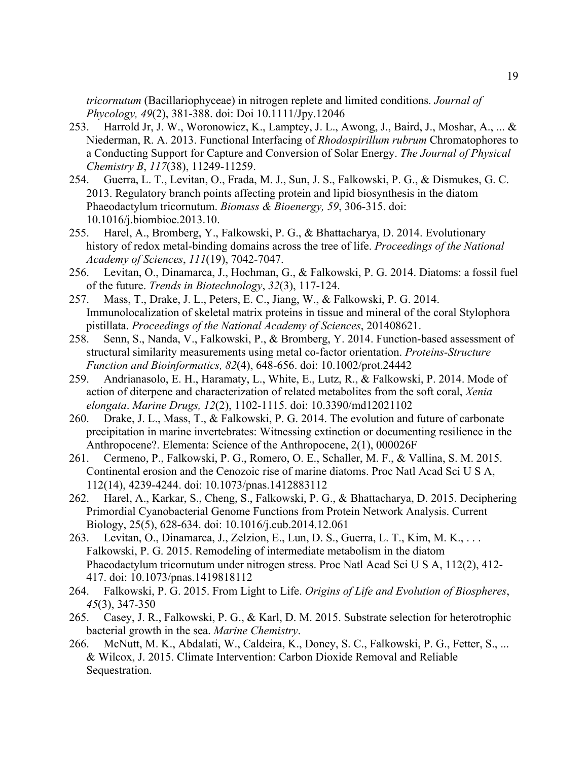*tricornutum* (Bacillariophyceae) in nitrogen replete and limited conditions. *Journal of Phycology, 49*(2), 381-388. doi: Doi 10.1111/Jpy.12046

- 253. Harrold Jr, J. W., Woronowicz, K., Lamptey, J. L., Awong, J., Baird, J., Moshar, A., ... & Niederman, R. A. 2013. Functional Interfacing of *Rhodospirillum rubrum* Chromatophores to a Conducting Support for Capture and Conversion of Solar Energy. *The Journal of Physical Chemistry B*, *117*(38), 11249-11259.
- 254. Guerra, L. T., Levitan, O., Frada, M. J., Sun, J. S., Falkowski, P. G., & Dismukes, G. C. 2013. Regulatory branch points affecting protein and lipid biosynthesis in the diatom Phaeodactylum tricornutum. *Biomass & Bioenergy, 59*, 306-315. doi: 10.1016/j.biombioe.2013.10.
- 255. Harel, A., Bromberg, Y., Falkowski, P. G., & Bhattacharya, D. 2014. Evolutionary history of redox metal-binding domains across the tree of life. *Proceedings of the National Academy of Sciences*, *111*(19), 7042-7047.
- 256. Levitan, O., Dinamarca, J., Hochman, G., & Falkowski, P. G. 2014. Diatoms: a fossil fuel of the future. *Trends in Biotechnology*, *32*(3), 117-124.
- 257. Mass, T., Drake, J. L., Peters, E. C., Jiang, W., & Falkowski, P. G. 2014. Immunolocalization of skeletal matrix proteins in tissue and mineral of the coral Stylophora pistillata. *Proceedings of the National Academy of Sciences*, 201408621.
- 258. Senn, S., Nanda, V., Falkowski, P., & Bromberg, Y. 2014. Function-based assessment of structural similarity measurements using metal co-factor orientation. *Proteins-Structure Function and Bioinformatics, 82*(4), 648-656. doi: 10.1002/prot.24442
- 259. Andrianasolo, E. H., Haramaty, L., White, E., Lutz, R., & Falkowski, P. 2014. Mode of action of diterpene and characterization of related metabolites from the soft coral, *Xenia elongata*. *Marine Drugs, 12*(2), 1102-1115. doi: 10.3390/md12021102
- 260. Drake, J. L., Mass, T., & Falkowski, P. G. 2014. The evolution and future of carbonate precipitation in marine invertebrates: Witnessing extinction or documenting resilience in the Anthropocene?. Elementa: Science of the Anthropocene, 2(1), 000026F
- 261. Cermeno, P., Falkowski, P. G., Romero, O. E., Schaller, M. F., & Vallina, S. M. 2015. Continental erosion and the Cenozoic rise of marine diatoms. Proc Natl Acad Sci U S A, 112(14), 4239-4244. doi: 10.1073/pnas.1412883112
- 262. Harel, A., Karkar, S., Cheng, S., Falkowski, P. G., & Bhattacharya, D. 2015. Deciphering Primordial Cyanobacterial Genome Functions from Protein Network Analysis. Current Biology, 25(5), 628-634. doi: 10.1016/j.cub.2014.12.061
- 263. Levitan, O., Dinamarca, J., Zelzion, E., Lun, D. S., Guerra, L. T., Kim, M. K., . . . Falkowski, P. G. 2015. Remodeling of intermediate metabolism in the diatom Phaeodactylum tricornutum under nitrogen stress. Proc Natl Acad Sci U S A, 112(2), 412- 417. doi: 10.1073/pnas.1419818112
- 264. Falkowski, P. G. 2015. From Light to Life. *Origins of Life and Evolution of Biospheres*, *45*(3), 347-350
- 265. Casey, J. R., Falkowski, P. G., & Karl, D. M. 2015. Substrate selection for heterotrophic bacterial growth in the sea. *Marine Chemistry*.
- 266. McNutt, M. K., Abdalati, W., Caldeira, K., Doney, S. C., Falkowski, P. G., Fetter, S., ... & Wilcox, J. 2015. Climate Intervention: Carbon Dioxide Removal and Reliable Sequestration.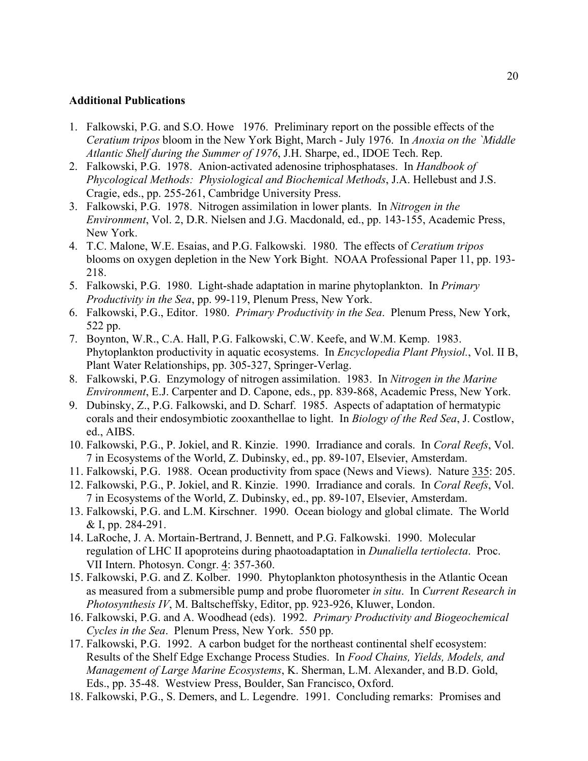#### **Additional Publications**

- 1. Falkowski, P.G. and S.O. Howe 1976. Preliminary report on the possible effects of the *Ceratium tripos* bloom in the New York Bight, March - July 1976. In *Anoxia on the `Middle Atlantic Shelf during the Summer of 1976*, J.H. Sharpe, ed., IDOE Tech. Rep.
- 2. Falkowski, P.G. 1978. Anion-activated adenosine triphosphatases. In *Handbook of Phycological Methods: Physiological and Biochemical Methods*, J.A. Hellebust and J.S. Cragie, eds., pp. 255-261, Cambridge University Press.
- 3. Falkowski, P.G. 1978. Nitrogen assimilation in lower plants. In *Nitrogen in the Environment*, Vol. 2, D.R. Nielsen and J.G. Macdonald, ed., pp. 143-155, Academic Press, New York.
- 4. T.C. Malone, W.E. Esaias, and P.G. Falkowski. 1980. The effects of *Ceratium tripos* blooms on oxygen depletion in the New York Bight. NOAA Professional Paper 11, pp. 193- 218.
- 5. Falkowski, P.G. 1980. Light-shade adaptation in marine phytoplankton. In *Primary Productivity in the Sea*, pp. 99-119, Plenum Press, New York.
- 6. Falkowski, P.G., Editor. 1980. *Primary Productivity in the Sea*. Plenum Press, New York, 522 pp.
- 7. Boynton, W.R., C.A. Hall, P.G. Falkowski, C.W. Keefe, and W.M. Kemp. 1983. Phytoplankton productivity in aquatic ecosystems. In *Encyclopedia Plant Physiol.*, Vol. II B, Plant Water Relationships, pp. 305-327, Springer-Verlag.
- 8. Falkowski, P.G. Enzymology of nitrogen assimilation. 1983. In *Nitrogen in the Marine Environment*, E.J. Carpenter and D. Capone, eds., pp. 839-868, Academic Press, New York.
- 9. Dubinsky, Z., P.G. Falkowski, and D. Scharf. 1985. Aspects of adaptation of hermatypic corals and their endosymbiotic zooxanthellae to light. In *Biology of the Red Sea*, J. Costlow, ed., AIBS.
- 10. Falkowski, P.G., P. Jokiel, and R. Kinzie. 1990. Irradiance and corals. In *Coral Reefs*, Vol. 7 in Ecosystems of the World, Z. Dubinsky, ed., pp. 89-107, Elsevier, Amsterdam.
- 11. Falkowski, P.G. 1988. Ocean productivity from space (News and Views). Nature 335: 205.
- 12. Falkowski, P.G., P. Jokiel, and R. Kinzie. 1990. Irradiance and corals. In *Coral Reefs*, Vol. 7 in Ecosystems of the World, Z. Dubinsky, ed., pp. 89-107, Elsevier, Amsterdam.
- 13. Falkowski, P.G. and L.M. Kirschner. 1990. Ocean biology and global climate. The World & I, pp. 284-291.
- 14. LaRoche, J. A. Mortain-Bertrand, J. Bennett, and P.G. Falkowski. 1990. Molecular regulation of LHC II apoproteins during phaotoadaptation in *Dunaliella tertiolecta*. Proc. VII Intern. Photosyn. Congr. 4: 357-360.
- 15. Falkowski, P.G. and Z. Kolber. 1990. Phytoplankton photosynthesis in the Atlantic Ocean as measured from a submersible pump and probe fluorometer *in situ*. In *Current Research in Photosynthesis IV*, M. Baltscheffsky, Editor, pp. 923-926, Kluwer, London.
- 16. Falkowski, P.G. and A. Woodhead (eds). 1992. *Primary Productivity and Biogeochemical Cycles in the Sea*. Plenum Press, New York. 550 pp.
- 17. Falkowski, P.G. 1992. A carbon budget for the northeast continental shelf ecosystem: Results of the Shelf Edge Exchange Process Studies. In *Food Chains, Yields, Models, and Management of Large Marine Ecosystems*, K. Sherman, L.M. Alexander, and B.D. Gold, Eds., pp. 35-48. Westview Press, Boulder, San Francisco, Oxford.
- 18. Falkowski, P.G., S. Demers, and L. Legendre. 1991. Concluding remarks: Promises and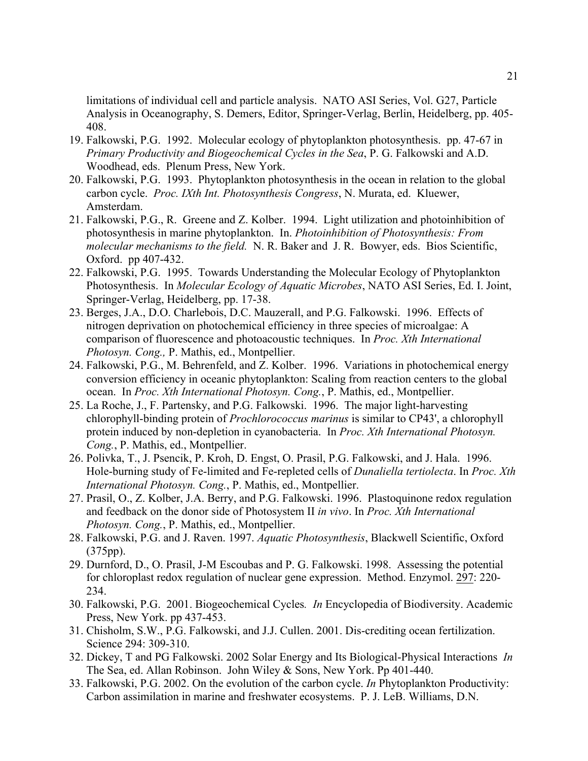limitations of individual cell and particle analysis. NATO ASI Series, Vol. G27, Particle Analysis in Oceanography, S. Demers, Editor, Springer-Verlag, Berlin, Heidelberg, pp. 405- 408.

- 19. Falkowski, P.G. 1992. Molecular ecology of phytoplankton photosynthesis. pp. 47-67 in *Primary Productivity and Biogeochemical Cycles in the Sea*, P. G. Falkowski and A.D. Woodhead, eds. Plenum Press, New York.
- 20. Falkowski, P.G. 1993. Phytoplankton photosynthesis in the ocean in relation to the global carbon cycle. *Proc. IXth Int. Photosynthesis Congress*, N. Murata, ed. Kluewer, Amsterdam.
- 21. Falkowski, P.G., R. Greene and Z. Kolber. 1994. Light utilization and photoinhibition of photosynthesis in marine phytoplankton. In. *Photoinhibition of Photosynthesis: From molecular mechanisms to the field.* N. R. Baker and J. R. Bowyer, eds. Bios Scientific, Oxford. pp 407-432.
- 22. Falkowski, P.G. 1995. Towards Understanding the Molecular Ecology of Phytoplankton Photosynthesis. In *Molecular Ecology of Aquatic Microbes*, NATO ASI Series, Ed. I. Joint, Springer-Verlag, Heidelberg, pp. 17-38.
- 23. Berges, J.A., D.O. Charlebois, D.C. Mauzerall, and P.G. Falkowski. 1996. Effects of nitrogen deprivation on photochemical efficiency in three species of microalgae: A comparison of fluorescence and photoacoustic techniques. In *Proc. Xth International Photosyn. Cong.,* P. Mathis, ed., Montpellier.
- 24. Falkowski, P.G., M. Behrenfeld, and Z. Kolber. 1996. Variations in photochemical energy conversion efficiency in oceanic phytoplankton: Scaling from reaction centers to the global ocean. In *Proc. Xth International Photosyn. Cong.*, P. Mathis, ed., Montpellier.
- 25. La Roche, J., F. Partensky, and P.G. Falkowski. 1996. The major light-harvesting chlorophyll-binding protein of *Prochlorococcus marinus* is similar to CP43', a chlorophyll protein induced by non-depletion in cyanobacteria. In *Proc. Xth International Photosyn. Cong.*, P. Mathis, ed., Montpellier.
- 26. Polivka, T., J. Psencik, P. Kroh, D. Engst, O. Prasil, P.G. Falkowski, and J. Hala. 1996. Hole-burning study of Fe-limited and Fe-repleted cells of *Dunaliella tertiolecta*. In *Proc. Xth International Photosyn. Cong.*, P. Mathis, ed., Montpellier.
- 27. Prasil, O., Z. Kolber, J.A. Berry, and P.G. Falkowski. 1996. Plastoquinone redox regulation and feedback on the donor side of Photosystem II *in vivo*. In *Proc. Xth International Photosyn. Cong.*, P. Mathis, ed., Montpellier.
- 28. Falkowski, P.G. and J. Raven. 1997. *Aquatic Photosynthesis*, Blackwell Scientific, Oxford (375pp).
- 29. Durnford, D., O. Prasil, J-M Escoubas and P. G. Falkowski. 1998. Assessing the potential for chloroplast redox regulation of nuclear gene expression. Method. Enzymol. 297: 220- 234.
- 30. Falkowski, P.G. 2001. Biogeochemical Cycles*. In* Encyclopedia of Biodiversity. Academic Press, New York. pp 437-453.
- 31. Chisholm, S.W., P.G. Falkowski, and J.J. Cullen. 2001. Dis-crediting ocean fertilization. Science 294: 309-310.
- 32. Dickey, T and PG Falkowski. 2002 Solar Energy and Its Biological-Physical Interactions *In*  The Sea, ed. Allan Robinson. John Wiley & Sons, New York. Pp 401-440.
- 33. Falkowski, P.G. 2002. On the evolution of the carbon cycle. *In* Phytoplankton Productivity: Carbon assimilation in marine and freshwater ecosystems. P. J. LeB. Williams, D.N.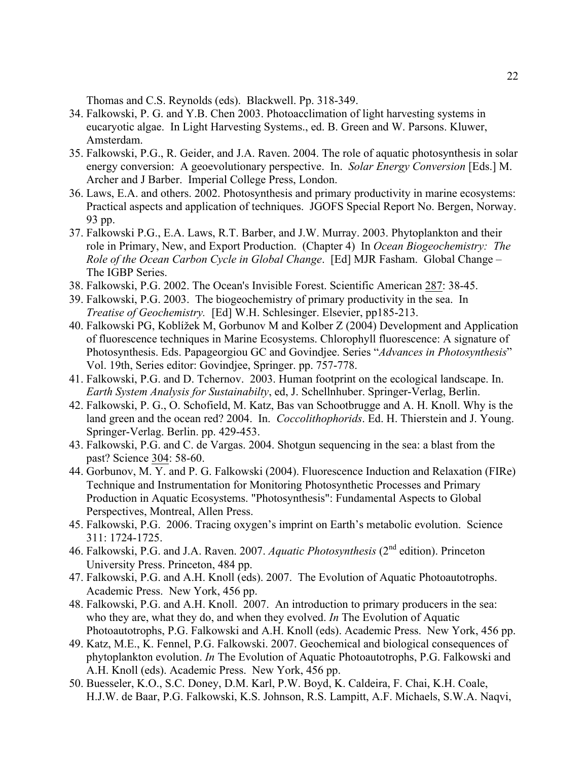Thomas and C.S. Reynolds (eds). Blackwell. Pp. 318-349.

- 34. Falkowski, P. G. and Y.B. Chen 2003. Photoacclimation of light harvesting systems in eucaryotic algae. In Light Harvesting Systems., ed. B. Green and W. Parsons. Kluwer, Amsterdam.
- 35. Falkowski, P.G., R. Geider, and J.A. Raven. 2004. The role of aquatic photosynthesis in solar energy conversion: A geoevolutionary perspective. In. *Solar Energy Conversion* [Eds.] M. Archer and J Barber. Imperial College Press, London.
- 36. Laws, E.A. and others. 2002. Photosynthesis and primary productivity in marine ecosystems: Practical aspects and application of techniques. JGOFS Special Report No. Bergen, Norway. 93 pp.
- 37. Falkowski P.G., E.A. Laws, R.T. Barber, and J.W. Murray. 2003. Phytoplankton and their role in Primary, New, and Export Production. (Chapter 4) In *Ocean Biogeochemistry: The Role of the Ocean Carbon Cycle in Global Change*. [Ed] MJR Fasham. Global Change – The IGBP Series.
- 38. Falkowski, P.G. 2002. The Ocean's Invisible Forest. Scientific American 287: 38-45.
- 39. Falkowski, P.G. 2003. The biogeochemistry of primary productivity in the sea. In *Treatise of Geochemistry.* [Ed] W.H. Schlesinger. Elsevier, pp185-213.
- 40. Falkowski PG, Koblížek M, Gorbunov M and Kolber Z (2004) Development and Application of fluorescence techniques in Marine Ecosystems. Chlorophyll fluorescence: A signature of Photosynthesis. Eds. Papageorgiou GC and Govindjee. Series "*Advances in Photosynthesis*" Vol. 19th, Series editor: Govindjee, Springer. pp. 757-778.
- 41. Falkowski, P.G. and D. Tchernov. 2003. Human footprint on the ecological landscape. In. *Earth System Analysis for Sustainabilty*, ed, J. Schellnhuber. Springer-Verlag, Berlin.
- 42. Falkowski, P. G., O. Schofield, M. Katz, Bas van Schootbrugge and A. H. Knoll. Why is the land green and the ocean red? 2004. In. *Coccolithophorids*. Ed. H. Thierstein and J. Young. Springer-Verlag. Berlin. pp. 429-453.
- 43. Falkowski, P.G. and C. de Vargas. 2004. Shotgun sequencing in the sea: a blast from the past? Science 304: 58-60.
- 44. Gorbunov, M. Y. and P. G. Falkowski (2004). Fluorescence Induction and Relaxation (FIRe) Technique and Instrumentation for Monitoring Photosynthetic Processes and Primary Production in Aquatic Ecosystems. "Photosynthesis": Fundamental Aspects to Global Perspectives, Montreal, Allen Press.
- 45. Falkowski, P.G. 2006. Tracing oxygen's imprint on Earth's metabolic evolution. Science 311: 1724-1725.
- 46. Falkowski, P.G. and J.A. Raven. 2007. *Aquatic Photosynthesis* (2nd edition). Princeton University Press. Princeton, 484 pp.
- 47. Falkowski, P.G. and A.H. Knoll (eds). 2007. The Evolution of Aquatic Photoautotrophs. Academic Press. New York, 456 pp.
- 48. Falkowski, P.G. and A.H. Knoll. 2007. An introduction to primary producers in the sea: who they are, what they do, and when they evolved. *In* The Evolution of Aquatic Photoautotrophs, P.G. Falkowski and A.H. Knoll (eds). Academic Press. New York, 456 pp.
- 49. Katz, M.E., K. Fennel, P.G. Falkowski. 2007. Geochemical and biological consequences of phytoplankton evolution. *In* The Evolution of Aquatic Photoautotrophs, P.G. Falkowski and A.H. Knoll (eds). Academic Press. New York, 456 pp.
- 50. Buesseler, K.O., S.C. Doney, D.M. Karl, P.W. Boyd, K. Caldeira, F. Chai, K.H. Coale, H.J.W. de Baar, P.G. Falkowski, K.S. Johnson, R.S. Lampitt, A.F. Michaels, S.W.A. Naqvi,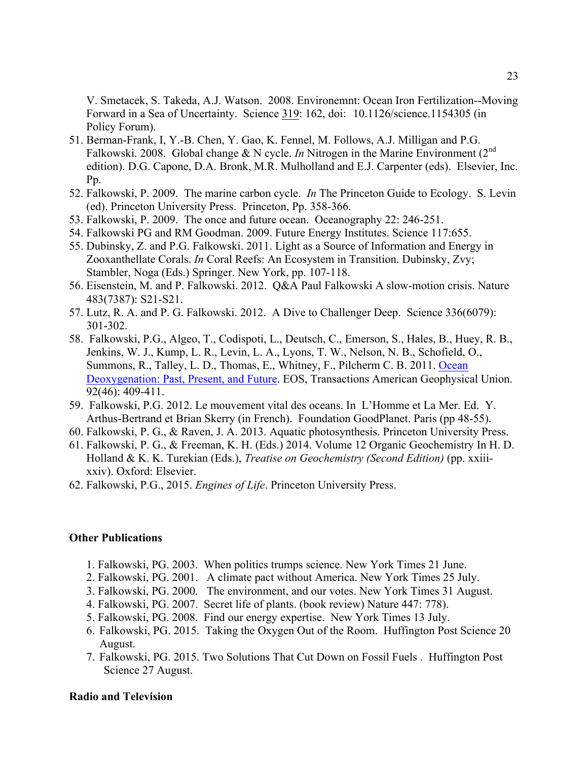V. Smetacek, S. Takeda, A.J. Watson. 2008. Environemnt: Ocean Iron Fertilization--Moving Forward in a Sea of Uncertainty. Science 319: 162, doi: 10.1126/science.1154305 (in Policy Forum).

- 51. Berman-Frank, I, Y.-B. Chen, Y. Gao, K. Fennel, M. Follows, A.J. Milligan and P.G. Falkowski. 2008. Global change & N cycle. *In* Nitrogen in the Marine Environment (2nd edition). D.G. Capone, D.A. Bronk, M.R. Mulholland and E.J. Carpenter (eds). Elsevier, Inc. Pp.
- 52. Falkowski, P. 2009. The marine carbon cycle. *In* The Princeton Guide to Ecology. S. Levin (ed). Princeton University Press. Princeton, Pp. 358-366.
- 53. Falkowski, P. 2009. The once and future ocean. Oceanography 22: 246-251.
- 54. Falkowski PG and RM Goodman. 2009. Future Energy Institutes. Science 117:655.
- 55. Dubinsky, Z. and P.G. Falkowski. 2011. Light as a Source of Information and Energy in Zooxanthellate Corals. *In* Coral Reefs: An Ecosystem in Transition. Dubinsky, Zvy; Stambler, Noga (Eds.) Springer. New York, pp. 107-118.
- 56. Eisenstein, M. and P. Falkowski. 2012. Q&A Paul Falkowski A slow-motion crisis. Nature 483(7387): S21-S21.
- 57. Lutz, R. A. and P. G. Falkowski. 2012. A Dive to Challenger Deep. Science 336(6079): 301-302.
- 58. Falkowski, P.G., Algeo, T., Codispoti, L., Deutsch, C., Emerson, S., Hales, B., Huey, R. B., Jenkins, W. J., Kump, L. R., Levin, L. A., Lyons, T. W., Nelson, N. B., Schofield, O., Summons, R., Talley, L. D., Thomas, E., Whitney, F., Pilcherm C. B. 2011. Ocean Deoxygenation: Past, Present, and Future. EOS, Transactions American Geophysical Union. 92(46): 409-411.
- 59. Falkowski, P.G. 2012. Le mouvement vital des oceans. In L'Homme et La Mer. Ed. Y. Arthus-Bertrand et Brian Skerry (in French). Foundation GoodPlanet. Paris (pp 48-55).
- 60. Falkowski, P. G., & Raven, J. A. 2013. Aquatic photosynthesis. Princeton University Press.
- 61. Falkowski, P. G., & Freeman, K. H. (Eds.) 2014. Volume 12 Organic Geochemistry In H. D. Holland & K. K. Turekian (Eds.), *Treatise on Geochemistry (Second Edition)* (pp. xxiiixxiv). Oxford: Elsevier.
- 62. Falkowski, P.G., 2015. *Engines of Life*. Princeton University Press.

### **Other Publications**

- 1. Falkowski, PG. 2003. When politics trumps science. New York Times 21 June.
- 2. Falkowski, PG. 2001. A climate pact without America. New York Times 25 July.
- 3. Falkowski, PG. 2000. The environment, and our votes. New York Times 31 August.
- 4. Falkowski, PG. 2007. Secret life of plants. (book review) Nature 447: 778).
- 5. Falkowski, PG. 2008. Find our energy expertise. New York Times 13 July.
- 6. Falkowski, PG. 2015. Taking the Oxygen Out of the Room. Huffington Post Science 20 August.
- 7. Falkowski, PG. 2015. Two Solutions That Cut Down on Fossil Fuels . Huffington Post Science 27 August.

#### **Radio and Television**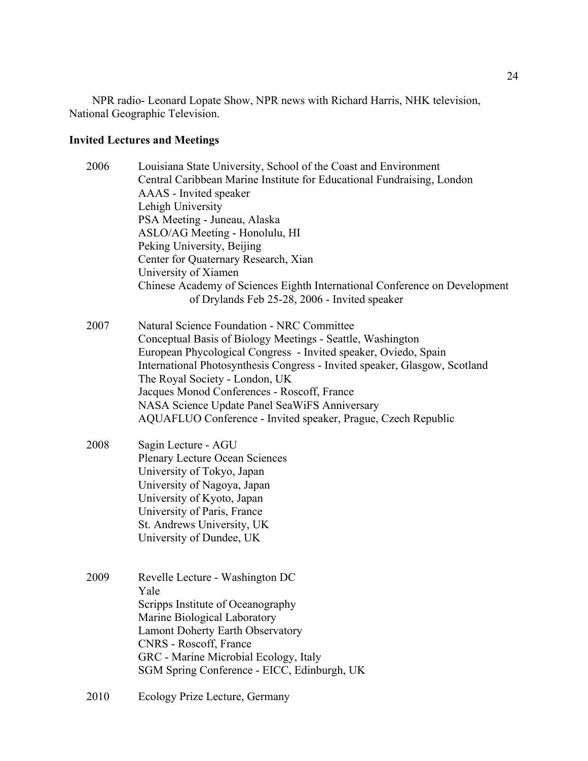NPR radio- Leonard Lopate Show, NPR news with Richard Harris, NHK television, National Geographic Television.

# **Invited Lectures and Meetings**

| 2006 | Louisiana State University, School of the Coast and Environment<br>Central Caribbean Marine Institute for Educational Fundraising, London<br>AAAS - Invited speaker<br>Lehigh University<br>PSA Meeting - Juneau, Alaska<br>ASLO/AG Meeting - Honolulu, HI<br>Peking University, Beijing<br>Center for Quaternary Research, Xian<br>University of Xiamen<br>Chinese Academy of Sciences Eighth International Conference on Development<br>of Drylands Feb 25-28, 2006 - Invited speaker |  |  |  |
|------|-----------------------------------------------------------------------------------------------------------------------------------------------------------------------------------------------------------------------------------------------------------------------------------------------------------------------------------------------------------------------------------------------------------------------------------------------------------------------------------------|--|--|--|
| 2007 | <b>Natural Science Foundation - NRC Committee</b><br>Conceptual Basis of Biology Meetings - Seattle, Washington<br>European Phycological Congress - Invited speaker, Oviedo, Spain<br>International Photosynthesis Congress - Invited speaker, Glasgow, Scotland<br>The Royal Society - London, UK<br>Jacques Monod Conferences - Roscoff, France<br>NASA Science Update Panel SeaWiFS Anniversary<br>AQUAFLUO Conference - Invited speaker, Prague, Czech Republic                     |  |  |  |
| 2008 | Sagin Lecture - AGU<br><b>Plenary Lecture Ocean Sciences</b><br>University of Tokyo, Japan<br>University of Nagoya, Japan<br>University of Kyoto, Japan<br>University of Paris, France<br>St. Andrews University, UK<br>University of Dundee, UK                                                                                                                                                                                                                                        |  |  |  |
| 2009 | Revelle Lecture - Washington DC<br>Yale<br>Scripps Institute of Oceanography<br>Marine Biological Laboratory<br><b>Lamont Doherty Earth Observatory</b><br>CNRS - Roscoff, France<br>GRC - Marine Microbial Ecology, Italy<br>SGM Spring Conference - EICC, Edinburgh, UK                                                                                                                                                                                                               |  |  |  |
| 2010 | Ecology Prize Lecture, Germany                                                                                                                                                                                                                                                                                                                                                                                                                                                          |  |  |  |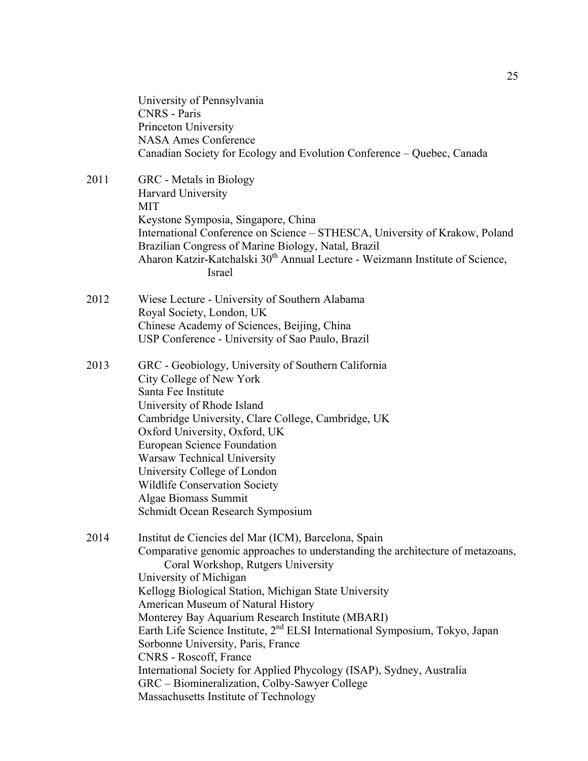|      | University of Pennsylvania<br><b>CNRS</b> - Paris<br>Princeton University<br><b>NASA Ames Conference</b><br>Canadian Society for Ecology and Evolution Conference - Quebec, Canada                                                                                                                                                                                                                                                                                                                                                                                                                                                                                                       |
|------|------------------------------------------------------------------------------------------------------------------------------------------------------------------------------------------------------------------------------------------------------------------------------------------------------------------------------------------------------------------------------------------------------------------------------------------------------------------------------------------------------------------------------------------------------------------------------------------------------------------------------------------------------------------------------------------|
| 2011 | GRC - Metals in Biology<br>Harvard University<br><b>MIT</b><br>Keystone Symposia, Singapore, China<br>International Conference on Science - STHESCA, University of Krakow, Poland<br>Brazilian Congress of Marine Biology, Natal, Brazil<br>Aharon Katzir-Katchalski 30 <sup>th</sup> Annual Lecture - Weizmann Institute of Science,<br>Israel                                                                                                                                                                                                                                                                                                                                          |
| 2012 | Wiese Lecture - University of Southern Alabama<br>Royal Society, London, UK<br>Chinese Academy of Sciences, Beijing, China<br>USP Conference - University of Sao Paulo, Brazil                                                                                                                                                                                                                                                                                                                                                                                                                                                                                                           |
| 2013 | GRC - Geobiology, University of Southern California<br>City College of New York<br>Santa Fee Institute<br>University of Rhode Island<br>Cambridge University, Clare College, Cambridge, UK<br>Oxford University, Oxford, UK<br><b>European Science Foundation</b><br><b>Warsaw Technical University</b><br>University College of London<br><b>Wildlife Conservation Society</b><br>Algae Biomass Summit<br>Schmidt Ocean Research Symposium                                                                                                                                                                                                                                              |
| 2014 | Institut de Ciencies del Mar (ICM), Barcelona, Spain<br>Comparative genomic approaches to understanding the architecture of metazoans,<br>Coral Workshop, Rutgers University<br>University of Michigan<br>Kellogg Biological Station, Michigan State University<br>American Museum of Natural History<br>Monterey Bay Aquarium Research Institute (MBARI)<br>Earth Life Science Institute, 2 <sup>nd</sup> ELSI International Symposium, Tokyo, Japan<br>Sorbonne University, Paris, France<br>CNRS - Roscoff, France<br>International Society for Applied Phycology (ISAP), Sydney, Australia<br>GRC – Biomineralization, Colby-Sawyer College<br>Massachusetts Institute of Technology |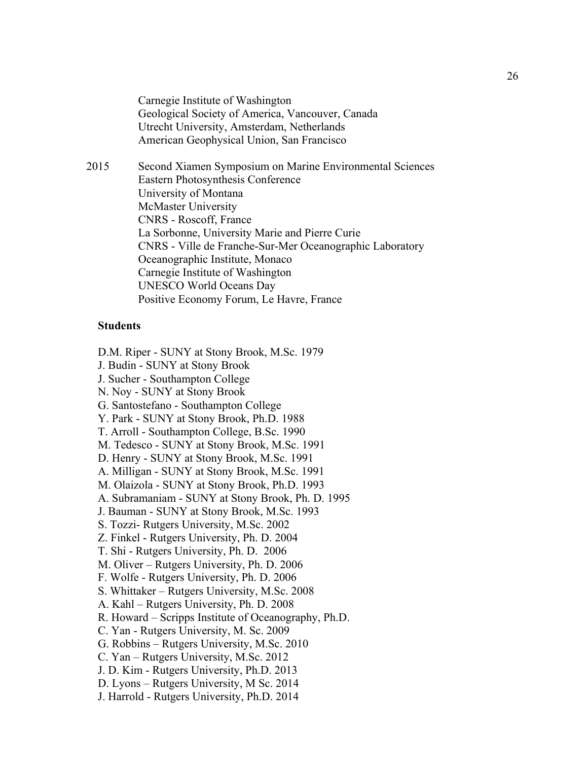Carnegie Institute of Washington Geological Society of America, Vancouver, Canada Utrecht University, Amsterdam, Netherlands American Geophysical Union, San Francisco

2015 Second Xiamen Symposium on Marine Environmental Sciences Eastern Photosynthesis Conference University of Montana McMaster University CNRS - Roscoff, France La Sorbonne, University Marie and Pierre Curie CNRS - Ville de Franche-Sur-Mer Oceanographic Laboratory Oceanographic Institute, Monaco Carnegie Institute of Washington UNESCO World Oceans Day Positive Economy Forum, Le Havre, France

### **Students**

D.M. Riper - SUNY at Stony Brook, M.Sc. 1979

J. Budin - SUNY at Stony Brook

J. Sucher - Southampton College

N. Noy - SUNY at Stony Brook

G. Santostefano - Southampton College

Y. Park - SUNY at Stony Brook, Ph.D. 1988

T. Arroll - Southampton College, B.Sc. 1990

M. Tedesco - SUNY at Stony Brook, M.Sc. 1991

D. Henry - SUNY at Stony Brook, M.Sc. 1991

A. Milligan - SUNY at Stony Brook, M.Sc. 1991

M. Olaizola - SUNY at Stony Brook, Ph.D. 1993

A. Subramaniam - SUNY at Stony Brook, Ph. D. 1995

J. Bauman - SUNY at Stony Brook, M.Sc. 1993

S. Tozzi- Rutgers University, M.Sc. 2002

Z. Finkel - Rutgers University, Ph. D. 2004

T. Shi - Rutgers University, Ph. D. 2006

M. Oliver – Rutgers University, Ph. D. 2006

F. Wolfe - Rutgers University, Ph. D. 2006

S. Whittaker – Rutgers University, M.Sc. 2008

A. Kahl – Rutgers University, Ph. D. 2008

R. Howard – Scripps Institute of Oceanography, Ph.D.

C. Yan - Rutgers University, M. Sc. 2009

G. Robbins – Rutgers University, M.Sc. 2010

C. Yan – Rutgers University, M.Sc. 2012

J. D. Kim - Rutgers University, Ph.D. 2013

D. Lyons – Rutgers University, M Sc. 2014

J. Harrold - Rutgers University, Ph.D. 2014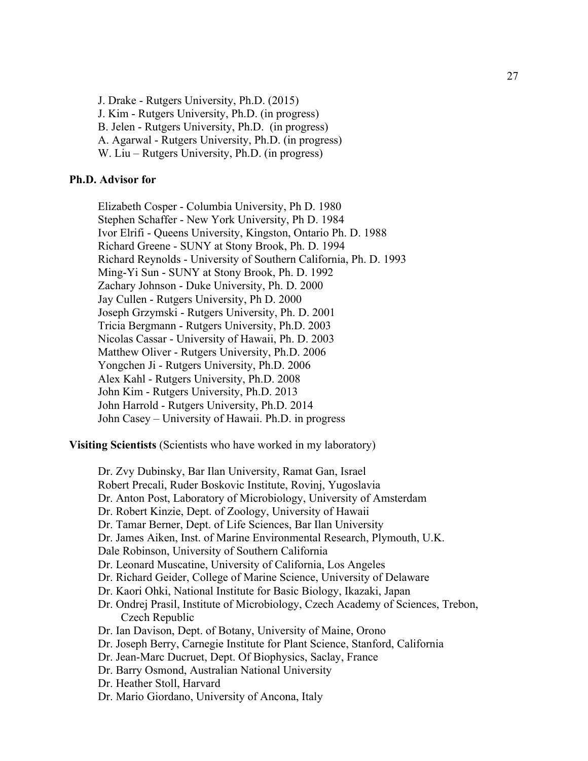J. Drake - Rutgers University, Ph.D. (2015) J. Kim - Rutgers University, Ph.D. (in progress) B. Jelen - Rutgers University, Ph.D. (in progress) A. Agarwal - Rutgers University, Ph.D. (in progress) W. Liu – Rutgers University, Ph.D. (in progress)

### **Ph.D. Advisor for**

Elizabeth Cosper - Columbia University, Ph D. 1980 Stephen Schaffer - New York University, Ph D. 1984 Ivor Elrifi - Queens University, Kingston, Ontario Ph. D. 1988 Richard Greene - SUNY at Stony Brook, Ph. D. 1994 Richard Reynolds - University of Southern California, Ph. D. 1993 Ming-Yi Sun - SUNY at Stony Brook, Ph. D. 1992 Zachary Johnson - Duke University, Ph. D. 2000 Jay Cullen - Rutgers University, Ph D. 2000 Joseph Grzymski - Rutgers University, Ph. D. 2001 Tricia Bergmann - Rutgers University, Ph.D. 2003 Nicolas Cassar - University of Hawaii, Ph. D. 2003 Matthew Oliver - Rutgers University, Ph.D. 2006 Yongchen Ji - Rutgers University, Ph.D. 2006 Alex Kahl - Rutgers University, Ph.D. 2008 John Kim - Rutgers University, Ph.D. 2013 John Harrold - Rutgers University, Ph.D. 2014 John Casey – University of Hawaii. Ph.D. in progress

**Visiting Scientists** (Scientists who have worked in my laboratory)

Dr. Zvy Dubinsky, Bar Ilan University, Ramat Gan, Israel Robert Precali, Ruder Boskovic Institute, Rovinj, Yugoslavia Dr. Anton Post, Laboratory of Microbiology, University of Amsterdam Dr. Robert Kinzie, Dept. of Zoology, University of Hawaii Dr. Tamar Berner, Dept. of Life Sciences, Bar Ilan University Dr. James Aiken, Inst. of Marine Environmental Research, Plymouth, U.K. Dale Robinson, University of Southern California Dr. Leonard Muscatine, University of California, Los Angeles Dr. Richard Geider, College of Marine Science, University of Delaware Dr. Kaori Ohki, National Institute for Basic Biology, Ikazaki, Japan Dr. Ondrej Prasil, Institute of Microbiology, Czech Academy of Sciences, Trebon, Czech Republic Dr. Ian Davison, Dept. of Botany, University of Maine, Orono Dr. Joseph Berry, Carnegie Institute for Plant Science, Stanford, California Dr. Jean-Marc Ducruet, Dept. Of Biophysics, Saclay, France Dr. Barry Osmond, Australian National University Dr. Heather Stoll, Harvard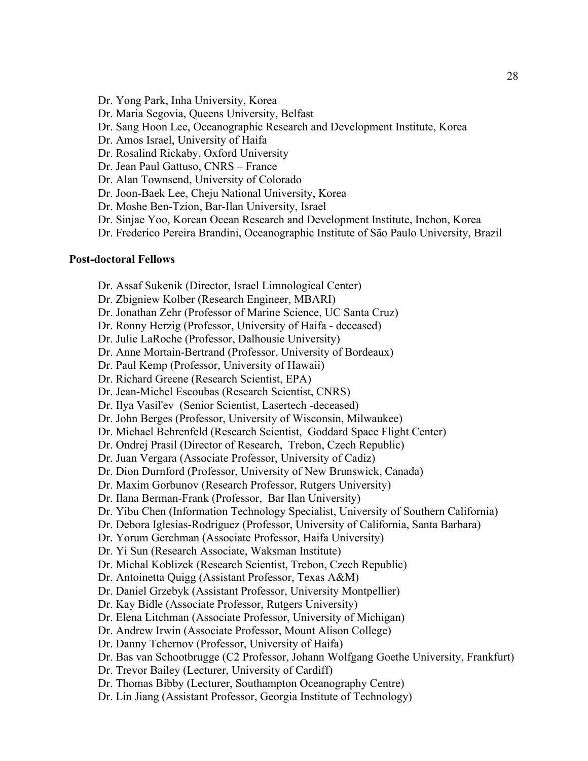- Dr. Yong Park, Inha University, Korea
- Dr. Maria Segovia, Queens University, Belfast
- Dr. Sang Hoon Lee, Oceanographic Research and Development Institute, Korea
- Dr. Amos Israel, University of Haifa
- Dr. Rosalind Rickaby, Oxford University
- Dr. Jean Paul Gattuso, CNRS France
- Dr. Alan Townsend, University of Colorado
- Dr. Joon-Baek Lee, Cheju National University, Korea
- Dr. Moshe Ben-Tzion, Bar-Ilan University, Israel
- Dr. Sinjae Yoo, Korean Ocean Research and Development Institute, Inchon, Korea
- Dr. Frederico Pereira Brandini, Oceanographic Institute of São Paulo University, Brazil

#### **Post-doctoral Fellows**

- Dr. Assaf Sukenik (Director, Israel Limnological Center)
- Dr. Zbigniew Kolber (Research Engineer, MBARI)
- Dr. Jonathan Zehr (Professor of Marine Science, UC Santa Cruz)
- Dr. Ronny Herzig (Professor, University of Haifa deceased)
- Dr. Julie LaRoche (Professor, Dalhousie University)
- Dr. Anne Mortain-Bertrand (Professor, University of Bordeaux)
- Dr. Paul Kemp (Professor, University of Hawaii)
- Dr. Richard Greene (Research Scientist, EPA)
- Dr. Jean-Michel Escoubas (Research Scientist, CNRS)
- Dr. Ilya Vasil'ev (Senior Scientist, Lasertech -deceased)
- Dr. John Berges (Professor, University of Wisconsin, Milwaukee)
- Dr. Michael Behrenfeld (Research Scientist, Goddard Space Flight Center)
- Dr. Ondrej Prasil (Director of Research, Trebon, Czech Republic)
- Dr. Juan Vergara (Associate Professor, University of Cadiz)
- Dr. Dion Durnford (Professor, University of New Brunswick, Canada)
- Dr. Maxim Gorbunov (Research Professor, Rutgers University)
- Dr. Ilana Berman-Frank (Professor, Bar Ilan University)
- Dr. Yibu Chen (Information Technology Specialist, University of Southern California)
- Dr. Debora Iglesias-Rodriguez (Professor, University of California, Santa Barbara)
- Dr. Yorum Gerchman (Associate Professor, Haifa University)
- Dr. Yi Sun (Research Associate, Waksman Institute)
- Dr. Michal Koblizek (Research Scientist, Trebon, Czech Republic)
- Dr. Antoinetta Quigg (Assistant Professor, Texas A&M)
- Dr. Daniel Grzebyk (Assistant Professor, University Montpellier)
- Dr. Kay Bidle (Associate Professor, Rutgers University)
- Dr. Elena Litchman (Associate Professor, University of Michigan)
- Dr. Andrew Irwin (Associate Professor, Mount Alison College)
- Dr. Danny Tchernov (Professor, University of Haifa)
- Dr. Bas van Schootbrugge (C2 Professor, Johann Wolfgang Goethe University, Frankfurt)
- Dr. Trevor Bailey (Lecturer, University of Cardiff)
- Dr. Thomas Bibby (Lecturer, Southampton Oceanography Centre)
- Dr. Lin Jiang (Assistant Professor, Georgia Institute of Technology)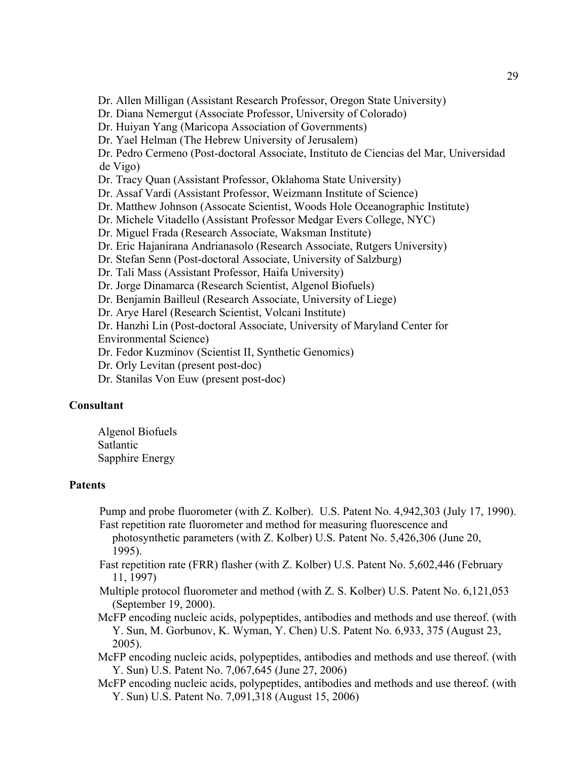Dr. Allen Milligan (Assistant Research Professor, Oregon State University)

Dr. Diana Nemergut (Associate Professor, University of Colorado)

Dr. Huiyan Yang (Maricopa Association of Governments)

Dr. Yael Helman (The Hebrew University of Jerusalem)

Dr. Pedro Cermeno (Post-doctoral Associate, Instituto de Ciencias del Mar, Universidad de Vigo)

Dr. Tracy Quan (Assistant Professor, Oklahoma State University)

Dr. Assaf Vardi (Assistant Professor, Weizmann Institute of Science)

Dr. Matthew Johnson (Assocate Scientist, Woods Hole Oceanographic Institute)

Dr. Michele Vitadello (Assistant Professor Medgar Evers College, NYC)

Dr. Miguel Frada (Research Associate, Waksman Institute)

Dr. Eric Hajanirana Andrianasolo (Research Associate, Rutgers University)

Dr. Stefan Senn (Post-doctoral Associate, University of Salzburg)

Dr. Tali Mass (Assistant Professor, Haifa University)

Dr. Jorge Dinamarca (Research Scientist, Algenol Biofuels)

Dr. Benjamin Bailleul (Research Associate, University of Liege)

Dr. Arye Harel (Research Scientist, Volcani Institute)

Dr. Hanzhi Lin (Post-doctoral Associate, University of Maryland Center for Environmental Science)

Dr. Fedor Kuzminov (Scientist II, Synthetic Genomics)

Dr. Orly Levitan (present post-doc)

Dr. Stanilas Von Euw (present post-doc)

### **Consultant**

Algenol Biofuels Satlantic Sapphire Energy

### **Patents**

Pump and probe fluorometer (with Z. Kolber). U.S. Patent No. 4,942,303 (July 17, 1990). Fast repetition rate fluorometer and method for measuring fluorescence and

photosynthetic parameters (with Z. Kolber) U.S. Patent No. 5,426,306 (June 20, 1995).

Fast repetition rate (FRR) flasher (with Z. Kolber) U.S. Patent No. 5,602,446 (February 11, 1997)

Multiple protocol fluorometer and method (with Z. S. Kolber) U.S. Patent No. 6,121,053 (September 19, 2000).

McFP encoding nucleic acids, polypeptides, antibodies and methods and use thereof. (with Y. Sun, M. Gorbunov, K. Wyman, Y. Chen) U.S. Patent No. 6,933, 375 (August 23, 2005).

McFP encoding nucleic acids, polypeptides, antibodies and methods and use thereof. (with Y. Sun) U.S. Patent No. 7,067,645 (June 27, 2006)

McFP encoding nucleic acids, polypeptides, antibodies and methods and use thereof. (with Y. Sun) U.S. Patent No. 7,091,318 (August 15, 2006)